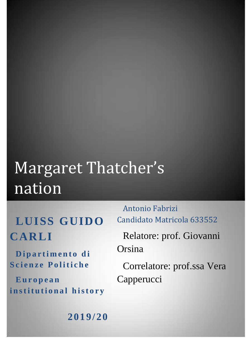# Margaret Thatcher's nation

# **LUISS GUIDO CARLI**

**Dipartimento di Scienze Politiche** 

**E u r o p e a n i n s t i t u t i o n a l h i s t o r y**

Antonio Fabrizi Candidato Matricola 633552

Relatore: prof. Giovanni **Orsina** 

Correlatore: prof.ssa Vera **Capperucci** 

 **2019/ 20**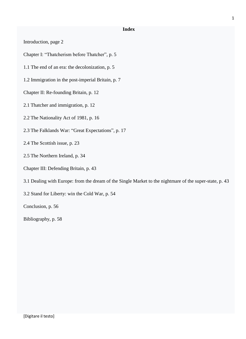# **Index**

Introduction, page 2

Chapter I: "Thatcherism before Thatcher", p. 5

1.1 The end of an era: the decolonization, p. 5

1.2 Immigration in the post-imperial Britain, p. 7

Chapter II: Re-founding Britain, p. 12

2.1 Thatcher and immigration, p. 12

2.2 The Nationality Act of 1981, p. 16

2.3 The Falklands War: "Great Expectations", p. 17

2.4 The Scottish issue, p. 23

2.5 The Northern Ireland, p. 34

Chapter III: Defending Britain, p. 43

3.1 Dealing with Europe: from the dream of the Single Market to the nightmare of the super-state, p. 43

3.2 Stand for Liberty: win the Cold War, p. 54

Conclusion, p. 56

Bibliography, p. 58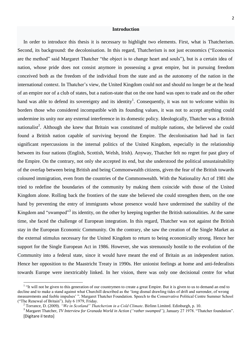# **Introduction**

In order to introduce this thesis it is necessary to highlight two elements. First, what is Thatcherism. Second, its background: the decolonisation. In this regard, Thatcherism is not just economics ("Economics are the method" said Margaret Thatcher "the object is to change heart and souls"), but is a certain idea of nation, whose pride does not consist anymore in possessing a great empire, but in pursuing freedom conceived both as the freedom of the individual from the state and as the autonomy of the nation in the international context. In Thatcher's view, the United Kingdom could not and should no longer be at the head of an empire nor of a club of states, but a nation-state that on the one hand was open to trade and on the other hand was able to defend its sovereignty and its identity<sup>1</sup>. Consequently, it was not to welcome within its borders those who considered incompatible with its founding values, it was not to accept anything could undermine its unity nor any external interference in its domestic policy. Ideologically, Thatcher was a British nationalist<sup>2</sup>. Although she knew that Britain was constituted of multiple nations, she believed she could found a British nation capable of surviving beyond the Empire. The decolonisation had had in fact significant repercussions in the internal politics of the United Kingdom, especially in the relationship between its four nations (English, Scottish, Welsh, Irish). Anyway, Thatcher felt no regret for past glory of the Empire. On the contrary, not only she accepted its end, but she understood the political unsustainability of the overlap between being British and being Commonwealth citizens, given the fear of the British towards coloured immigration, even from the countries of the Commonwealth. With the Nationality Act of 1981 she tried to redefine the boundaries of the community by making them coincide with those of the United Kingdom alone. Rolling back the frontiers of the state she believed she could strengthen them, on the one hand by preventing the entry of immigrants whose presence would have undermined the stability of the Kingdom and "swamped"<sup>3</sup> its identity, on the other by keeping together the British nationalities. At the same time, she faced the challenge of European integration. In this regard, Thatcher was not against the British stay in the European Economic Community. On the contrary, she saw the creation of the Single Market as the external stimulus necessary for the United Kingdom to return to being economically strong. Hence her support for the Single European Act in 1986. However, she was strenuously hostile to the evolution of the Community into a federal state, since it would have meant the end of Britain as an independent nation. Hence her opposition to the Maastricht Treaty in 1990s. Her unionist feelings at home and anti-federalists towards Europe were inextricably linked. In her vision, there was only one decisional centre for what

<sup>&</sup>lt;sup>1</sup> "It will not be given to this generation of our countrymen to create a great Empire. But it is given to us to demand an end to decline and to make a stand against what Churchill described as the 'long dismal drawling tides of drift and surrender, of wrong measurements and feeble impulses' ". Margaret Thatcher Foundation. Speech to the Conservative Political Centre Summer School ("The Renewal of Britain"). July 6 1979, Friday.

<sup>2</sup> Torrance, D. (2009). *"We in Scotland" Thatcherism in a Cold Climate*. Birlinn Limited. Edinburgh, p. 10.

<sup>[</sup>Digitare il testo] <sup>3</sup> Margaret Thatcher, *TV Interview for Granada World in Action ("rather swamped")*, January 27 1978. "Thatcher foundation".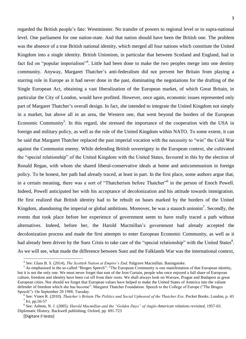regarded the British people's fate: Westminster. No transfer of powers to regional level or to supra-national level. One parliament for one nation-state. And that nation should have been the British one. The problem was the absence of a true British national identity, which merged all four nations which constitute the United Kingdom into a single identity. British Unionism, in particular that between Scotland and England, had in fact fed on "popular imperialism"<sup>4</sup>. Little had been done to make the two peoples merge into one destiny community. Anyway, Margaret Thatcher's anti-federalism did not prevent her Britain from playing a starring role in Europe as it had never done in the past, dominating the negotiations for the drafting of the Single European Act, obtaining a vast liberalization of the European market, of which Great Britain, in particular the City of London, would have profited. However, once again, economic issues represented only part of Margaret Thatcher's overall design. In fact, she intended to integrate the United Kingdom not simply in a market, but above all in an area, the Western one, that went beyond the borders of the European Economic Community<sup>5</sup>. In this regard, she stressed the importance of the cooperation with the USA in foreign and military policy, as well as the role of the United Kingdom within NATO. To some extent, it can be said that Margaret Thatcher replaced the past imperial vocation with the necessity to "win" the Cold War against the Communist enemy. While defending British sovereignty in the European context, she cultivated the "special relationship" of the United Kingdom with the United States, favoured in this by the election of Ronald Regan, with whom she shared liberal-conservative ideals at home and anticommunism in foreign policy. To be honest, her path had already traced, at least in part. In the first place, some authors argue that, in a certain meaning, there was a sort of "Thatcherism before Thatcher"<sup>6</sup> in the person of Enoch Powell. Indeed, Powell anticipated her with his acceptance of decolonization and his attitude towards immigration. He first realized that British identity had to be rebuilt on bases marked by the borders of the United Kingdom, abandoning the imperial or global ambitions. Moreover, he was a staunch unionist<sup>7</sup>. Secondly, the events that took place before her experience of government seem to have really traced a path without alternatives. Indeed, before her, the Harold Macmillan's government had already accepted the decolonization process and made the first attempts to enter European Economic Community, as well as it had already been driven by the Suez Crisis to take care of the "special relationship" with the United States<sup>8</sup>. As we will see, what made the difference between Suez and the Falklands War was the international context,

 4 See: Glass B. S. (2014), *The Scottish Nation at Empire's End*. Palgrave Macmillan. Basingstoke.

 $<sup>5</sup>$  As emphasized in the so-called "Bruges Speech": "The European Community is one manifestation of that European identity,</sup> but it is not the only one. We must never forget that east of the Iron Curtain, people who once enjoyed a full share of European culture, freedom and identity have been cut off from their roots. We shall always look on Warsaw, Prague and Budapest as great European cities. Nor should we forget that European values have helped to make the United States of America into the valiant defender of freedom which she has become". Margaret Thatcher Foundation. Speech to the College of Europe ("The Bruges Speech"). On September 20 1988, Tuesday.

<sup>6</sup> See: Vinen R. (2010). *Thatcher's Britain The Politics and Social Upheaval of the Thatcher Era*. Pocket Books. London, p. 43 7 *Ivi*, pp.56-57

<sup>8</sup> See: Ashton, N. J. (2005). *Harold Macmillan and the "Golden Days" of Anglo-American relations revisited*, 1957-63. Diplomatic History. Backwell publishing. Oxford, pp. 691-723

<sup>[</sup>Digitare il testo]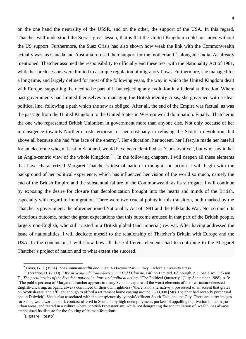on the one hand the neutrality of the USSR, and on the other, the support of the USA. In this regard, Thatcher well understood the Suez's great lesson, that is that the United Kingdom could not move without the US support. Furthermore, the Suez Crisis had also shown how weak the link with the Commonwealth actually was, as Canada and Australia refused their support for the motherland <sup>9</sup>, alongside India. As already mentioned, Thatcher assumed the responsibility to officially end these ties, with the Nationality Act of 1981, while her predecessors were limited to a simple regulation of migratory flows. Furthermore, she managed for a long time, and largely defined for most of the following years, the way in which the United Kingdom dealt with Europe, supporting the need to be part of it but rejecting any evolution in a federalist direction. Where past governments had limited themselves to managing the British identity crisis, she governed with a clear political line, following a path which she saw as obliged. After all, the end of the Empire was factual, as was the passage from the United Kingdom to the United States in Western world domination. Finally, Thatcher is the one who represented British Unionism in government more than anyone else. Not only because of her intransigence towards Northern Irish terrorism or her obstinacy in refusing the Scottish devolution, but above all because she had "the face of the enemy". Her education, her accent, her lifestyle made her hateful for an electorate who, at least in Scotland, would have been identified as "Conservative", but who saw in her an Anglo-centric view of the whole Kingdom  $10$ . In the following chapters, I will deepen all these elements that have characterized Margaret Thatcher's idea of nation in thought and action. I will begin with the background of her political experience, which has influenced her vision of the world so much, namely the end of the British Empire and the substantial failure of the Commonwealth as its surrogate. I will continue by exposing the desire for closure that decolonization brought into the hearts and minds of the British, especially with regard to immigration. There were two crucial points in this transition, both marked by the Thatcher's government: the aforementioned Nationality Act of 1981 and the Falklands War. Not so much its victorious outcome, rather the great expectations that this outcome aroused in that part of the British people, largely non-English, who still trusted in a British global (and imperial) revival. After having addressed the issue of nationalities, I will dedicate myself to the relationship of Thatcher's Britain with Europe and the USA. In the conclusion, I will show how all these different elements had to contribute to the Margaret Thatcher's project of nation and to what extent she succeed.

<sup>9</sup> Eayrs, G. J. (1964). *The Commonwealth and Suez: A Documentary Survey*. Oxford University Press.

<sup>&</sup>lt;sup>10</sup> Torrance, D. (2009). *"We in Scotland" Thatcherism in a Cold Climate*. Birlinn Limited. Edinburgh, p. 9 See also: Dickson T., *The peculiarities of the Scottish: national culture and political action*. "The Political Quarterly" (July-September 1988), p. 3: "The public persona of Margaret Thatcher appears to many Scots to capture all the worst elements of their caricature detested English-uncaring, arrogant, always convinced of their own rightness ('there is no alternative'), possessed of an accent that grates on Scottish ears, and affluent enough to afford a retirement home costing around £500,000 [Mrs Thatcher had recently purchased one in Dulwich]. She is also associated with the conspicuously 'yuppie'/affluent South-East, and the City. There are bitter images for Scots, well aware of stark contrast offered in Scotland by high unemployment, pockets of appalling deprivation in the major urban areas, and reared in a culture where Scottish Protestantism, while not denigrating the accumulation of wealth, has always emphasised its distaste for the flouting of its manifestations".

<sup>[</sup>Digitare il testo]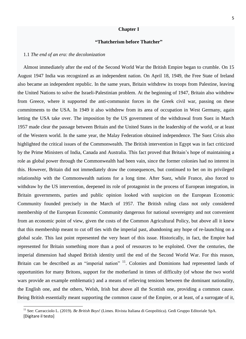# **Chapter I**

# **"Thatcherism before Thatcher"**

#### 1.1 *The end of an era: the decolonization*

 $\overline{\phantom{a}}$ 

Almost immediately after the end of the Second World War the British Empire began to crumble. On 15 August 1947 India was recognized as an independent nation. On April 18, 1949, the Free State of Ireland also became an independent republic. In the same years, Britain withdrew its troops from Palestine, leaving the United Nations to solve the Israeli-Palestinian problem. At the beginning of 1947, Britain also withdrew from Greece, where it supported the anti-communist forces in the Greek civil war, passing on these commitments to the USA. In 1949 it also withdrew from its area of occupation in West Germany, again letting the USA take over. The imposition by the US government of the withdrawal from Suez in March 1957 made clear the passage between Britain and the United States in the leadership of the world, or at least of the Western world. In the same year, the Malay Federation obtained independence. The Suez Crisis also highlighted the critical issues of the Commonwealth. The British intervention in Egypt was in fact criticized by the Prime Ministers of India, Canada and Australia. This fact proved that Britain's hope of maintaining a role as global power through the Commonwealth had been vain, since the former colonies had no interest in this. However, Britain did not immediately draw the consequences, but continued to bet on its privileged relationship with the Commonwealth nations for a long time. After Suez, while France, also forced to withdraw by the US intervention, deepened its role of protagonist in the process of European integration, in Britain governments, parties and public opinion looked with suspicion on the European Economic Community founded precisely in the March of 1957. The British ruling class not only considered membership of the European Economic Community dangerous for national sovereignty and not convenient from an economic point of view, given the costs of the Common Agricultural Policy, but above all it knew that this membership meant to cut off ties with the imperial past, abandoning any hope of re-launching on a global scale. This last point represented the very heart of this issue. Historically, in fact, the Empire had represented for Britain something more than a pool of resources to be exploited. Over the centuries, the imperial dimension had shaped British identity until the end of the Second World War. For this reason, Britain can be described as an "imperial nation" <sup>11</sup>. Colonies and Dominions had represented lands of opportunities for many Britons, support for the motherland in times of difficulty (of whose the two world wars provide an example emblematic) and a means of relieving tensions between the dominant nationality, the English one, and the others, Welsh, Irish but above all the Scottish one, providing a common cause. Being British essentially meant supporting the common cause of the Empire, or at least, of a surrogate of it,

<sup>[</sup>Digitare il testo] <sup>11</sup> See: Carracciolo L. (2019). *Be British Boys!* (Limes. Rivista Italiana di Geopolitica). Gedi Gruppo Editoriale SpA.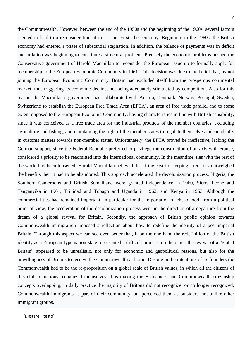the Commonwealth. However, between the end of the 1950s and the beginning of the 1960s, several factors seemed to lead to a reconsideration of this issue. First, the economy. Beginning in the 1960s, the British economy had entered a phase of substantial stagnation. In addition, the balance of payments was in deficit and inflation was beginning to constitute a structural problem. Precisely the economic problems pushed the Conservative government of Harold Macmillan to reconsider the European issue up to formally apply for membership to the European Economic Community in 1961. This decision was due to the belief that, by not joining the European Economic Community, Britain had excluded itself from the prosperous continental market, thus triggering its economic decline, not being adequately stimulated by competition. Also for this reason, the Macmillan's government had collaborated with Austria, Denmark, Norway, Portugal, Sweden, Switzerland to establish the European Free Trade Area (EFTA), an area of free trade parallel and to some extent opposed to the European Economic Community, having characteristics in line with British sensibility, since it was conceived as a free trade area for the industrial products of the member countries, excluding agriculture and fishing, and maintaining the right of the member states to regulate themselves independently in customs matters towards non-member states. Unfortunately, the EFTA proved be ineffective, lacking the German support, since the Federal Republic preferred to privilege the construction of an axis with France, considered a priority to be readmitted into the international community. In the meantime, ties with the rest of the world had been loosened. Harold Macmillan believed that if the cost for keeping a territory outweighed the benefits then it had to be abandoned. This approach accelerated the decolonization process. Nigeria, the Southern Cameroons and British Somaliland were granted independence in 1960, Sierra Leone and Tanganyika in 1961, Trinidad and Tobago and Uganda in 1962, and Kenya in 1963. Although the commercial ties had remained important, in particular for the importation of cheap food, from a political point of view, the acceleration of the decolonization process went in the direction of a departure from the dream of a global revival for Britain. Secondly, the approach of British public opinion towards Commonwealth immigration imposed a reflection about how to redefine the identity of a post-imperial Britain. Through this aspect we can see even better that, if on the one hand the redefinition of the British identity as a European-type nation-state represented a difficult process, on the other, the revival of a "global Britain" appeared to be unrealistic, not only for economic and geopolitical reasons, but also for the unwillingness of Britons to receive the Commonwealth at home. Despite in the intentions of its founders the Commonwealth had to be the re-proposition on a global scale of British values, in which all the citizens of this club of nations recognized themselves, thus making the Britishness and Commonwealth citizenship concepts overlapping, in daily practice the majority of Britons did not recognize, or no longer recognized, Commonwealth immigrants as part of their community, but perceived them as outsiders, not unlike other immigrant groups.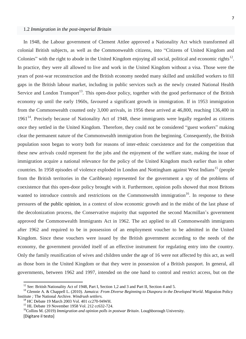# 1.2 *Immigration in the post-imperial Britain*

In 1948, the Labour government of Clement Attlee approved a Nationality Act which transformed all colonial British subjects, as well as the Commonwealth citizens, into "Citizens of United Kingdom and Colonies" with the right to abode in the United Kingdom enjoying all social, political and economic rights $^{12}$ . In practice, they were all allowed to live and work in the United Kingdom without a visa. Those were the years of post-war reconstruction and the British economy needed many skilled and unskilled workers to fill gaps in the British labour market, including in public services such as the newly created National Health Service and London Transport<sup>13</sup>. This open-door policy, together with the good performance of the British economy up until the early 1960s, favoured a significant growth in immigration. If in 1953 immigration from the Commonwealth counted only 3,000 arrivals, in 1956 these arrived at 46,800, reaching 136,400 in  $1961<sup>14</sup>$ . Precisely because of Nationality Act of 1948, these immigrants were legally regarded as citizens once they settled in the United Kingdom. Therefore, they could not be considered "guest workers" making clear the permanent nature of the Commonwealth immigration from the beginning. Consequently, the British population soon began to worry both for reasons of inter-ethnic coexistence and for the competition that these new arrivals could represent for the jobs and the enjoyment of the welfare state, making the issue of immigration acquire a national relevance for the policy of the United Kingdom much earlier than in other countries. In 1958 episodes of violence exploded in London and Nottingham against West Indians<sup>15</sup> (people from the British territories in the Caribbean) represented for the government a spy of the problems of coexistence that this open-door policy brought with it. Furthermore, opinion polls showed that most Britons wanted to introduce controls and restrictions on the Commonwealth immigration<sup>16</sup>. In response to these pressures of the public opinion, in a context of slow economic growth and in the midst of the last phase of the decolonization process, the Conservative majority that supported the second Macmillan's government approved the Commonwealth Immigrants Act in 1962. The act applied to all Commonwealth immigrants after 1962 and required to be in possession of an employment voucher to be admitted in the United Kingdom. Since these vouchers were issued by the British government according to the needs of the economy, the government provided itself of an effective instrument for regulating entry into the country. Only the family reunification of wives and children under the age of 16 were not affected by this act, as well as those born in the United Kingdom or that they were in possession of a British passport. In general, all governments, between 1962 and 1997, intended on the one hand to control and restrict access, but on the

 $\overline{\phantom{a}}$ 

 $12$  See: British Nationality Act of 1948, Part I, Section 1,2 and 3 and Part II, Section 4 and 5.

<sup>&</sup>lt;sup>13</sup> Glennie A. & Chappell L. (2010). *Jamaica: From Diverse Beginning to Diaspora in the Developed World*. Migration Policy Institute *;* The National Archive. *Windrush settlers.*

 $14$  HC Debate 19 March 2003 Vol. 401 cc270-94WH.

<sup>15</sup> HL Debate 19 November 1958 Vol. 212 cc632-724.

<sup>[</sup>Digitare il testo] <sup>16</sup>Collins M. (2019) *Immigration and opinion polls in postwar Britain*. Loughborough University.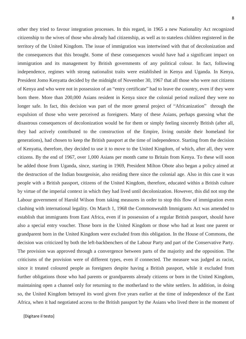8

other they tried to favour integration processes. In this regard, in 1965 a new Nationality Act recognized citizenship to the wives of those who already had citizenship, as well as to stateless children registered in the territory of the United Kingdom. The issue of immigration was intertwined with that of decolonization and the consequences that this brought. Some of these consequences would have had a significant impact on immigration and its management by British governments of any political colour. In fact, following independence, regimes with strong nationalist traits were established in Kenya and Uganda. In Kenya, President Jomo Kenyatta decided by the midnight of November 30, 1967 that all those who were not citizens of Kenya and who were not in possession of an "entry certificate" had to leave the country, even if they were born there. More than 200,000 Asians resident in Kenya since the colonial period realized they were no longer safe. In fact, this decision was part of the more general project of "Africanization" through the expulsion of those who were perceived as foreigners. Many of these Asians, perhaps guessing what the disastrous consequences of decolonization would be for them or simply feeling sincerely British (after all, they had actively contributed to the construction of the Empire, living outside their homeland for generations), had chosen to keep the British passport at the time of independence. Starting from the decision of Kenyatta, therefore, they decided to use it to move to the United Kingdom, of which, after all, they were citizens. By the end of 1967, over 1,000 Asians per month came to Britain from Kenya. To these will soon be added those from Uganda, since, starting in 1969, President Milton Obote also began a policy aimed at the destruction of the Indian bourgeoisie, also residing there since the colonial age. Also in this case it was people with a British passport, citizens of the United Kingdom, therefore, educated within a British culture by virtue of the imperial context in which they had lived until decolonization. However, this did not stop the Labour government of Harold Wilson from taking measures in order to stop this flow of immigration even clashing with international legality. On March 1, 1968 the Commonwealth Immigrants Act was amended to establish that immigrants from East Africa, even if in possession of a regular British passport, should have also a special entry voucher. Those born in the United Kingdom or those who had at least one parent or grandparent born in the United Kingdom were excluded from this obligation. In the House of Commons, the decision was criticized by both the left-backbenchers of the Labour Party and part of the Conservative Party. The provision was approved through a convergence between parts of the majority and the opposition. The criticisms of the provision were of different types, even if connected. The measure was judged as racist, since it treated coloured people as foreigners despite having a British passport, while it excluded from further obligations those who had parents or grandparents already citizens or born in the United Kingdom, maintaining open a channel only for returning to the motherland to the white settlers. In addition, in doing so, the United Kingdom betrayed its word given five years earlier at the time of independence of the East Africa, when it had negotiated access to the British passport by the Asians who lived there in the moment of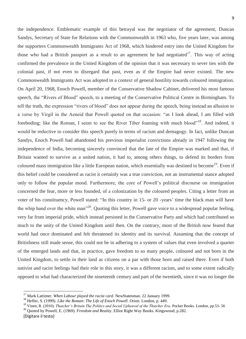the independence. Emblematic example of this betrayal was the negotiator of the agreement, Duncan Sandys, Secretary of State for Relations with the Commonwealth in 1963 who, five years later, was among the supporters Commonwealth Immigrants Act of 1968, which hindered entry into the United Kingdom for those who had a British passport as a result to an agreement he had negotiated<sup>17</sup>. This way of acting confirmed the prevalence in the United Kingdom of the opinion that it was necessary to sever ties with the colonial past, if not even to disregard that past, even as if the Empire had never existed. The new Commonwealth Immigrants Act was adopted in a context of general hostility towards coloured immigration. On April 20, 1968, Enoch Powell, member of the Conservative Shadow Cabinet, delivered his most famous speech, the "Rivers of Blood" speech, to a meeting of the Conservative Political Centre in Birmingham. To tell the truth, the expression "rivers of blood" does not appear during the speech, being instead an allusion to a verse by Virgil in the Aeneid that Powell quoted on that occasion: "as I look ahead, I am filled with foreboding; like the Roman, I seem to see the River Tiber foaming with much blood"<sup>18</sup>. And indeed, it would be reductive to consider this speech purely in terms of racism and demagogy. In fact, unlike Duncan Sandys, Enoch Powell had abandoned his previous imperialist convictions already in 1947 following the independence of India, becoming sincerely convinced that the fate of the Empire was marked and that, if Britain wanted to survive as a united nation, it had to, among others things, to defend its borders from coloured mass immigration like a little European nation, which essentially was destined to become<sup>19</sup>. Even if this belief could be considered as racist it certainly was a true conviction, not an instrumental stance adopted only to follow the popular mood. Furthermore, the core of Powell's political discourse on immigration concerned the fear, more or less founded, of a colonization by the coloured peoples. Citing a letter from an voter of his constituency, Powell stated: "In this country in 15- or 20 -years' time the black man will have the whip hand over the white man<sup>220</sup>. Quoting this letter, Powell gave voice to a widespread popular feeling, very far from imperial pride, which instead persisted in the Conservative Party and which had contributed so much to the unity of the United Kingdom until then. On the contrary, most of the British now feared that world had once dominated and felt threatened its identity and its survival. Assuming that the concept of Britishness still made sense, this could not be in adhering to a system of values that even involved a quarter of the emerged lands and that, in practice, gave freedom to so many people, coloured and not born in the United Kingdom, to settle in their land as citizens on a par with those born and raised there. Even if both nativist and racist feelings had their role in this story, it was a different racism, and to some extent radically opposed to what had characterized the nineteenth century and part of the twentieth, since it was no longer the

[Digitare il testo]

<sup>&</sup>lt;sup>17</sup> Mark Lattimer. *When Labour played the racist card*. NewStatesman. 22 January 1999.

<sup>18</sup> Heffer, S. (1999). *Like the Roman: The Life of Enoch Powell*. Orion. London, p. 449.

<sup>19</sup> Vinen, R. (2010). *Thatcher's Britain The Politics and Social Upheaval of the Thatcher Era*. Pocket Books. London, pp.53- 56 <sup>20</sup> Quoted by Powell, E. (1969). *Freedom and Reality*. Elliot Right Way Books. Kingswood, p.282.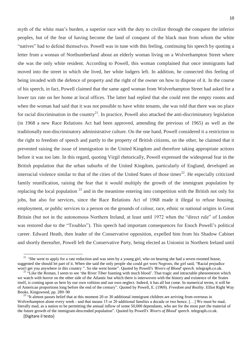myth of the white man's burden, a superior race with the duty to civilize through the conquest the inferior peoples, but of the fear of having become the land of conquest of the black man from whom the white "natives" had to defend themselves. Powell was in tune with this feeling, continuing his speech by quoting a letter from a woman of Northumberland about an elderly woman living on a Wolverhampton Street where she was the only white resident. According to Powell, this woman complained that once immigrants had moved into the street in which she lived, her white lodgers left. In addition, he connected this feeling of being invaded with the defence of property and the right of the owner on how to dispose of it. In the course of his speech, in fact, Powell claimed that the same aged woman from Wolverhampton Street had asked for a lower tax rate on her home at local offices. The latter had replied that she could rent the empty rooms and when the woman had said that it was not possible to have white tenants, she was told that there was no place for racial discrimination in the country<sup>21</sup>. In practice, Powell also attacked the anti-discriminatory legislation (in 1968 a new Race Relations Act had been approved, amending the previous of 1965) as well as the traditionally non-discriminatory administrative culture. On the one hand, Powell considered it a restriction to the right to freedom of speech and partly to the property of British citizens, on the other, he claimed that it prevented raising the issue of immigration in the United Kingdom and therefore taking appropriate actions before it was too late. In this regard, quoting Virgil rhetorically, Powell expressed the widespread fear in the British population that the urban suburbs of the United Kingdom, particularly of England, developed an interracial violence similar to that of the cities of the United States of those times<sup>22</sup>. He especially criticized family reunification, raising the fear that it would multiply the growth of the immigrant population by replacing the local population  $^{23}$  and in the meantime entering into competition with the British not only for jobs, but also for services, since the Race Relations Act of 1968 made it illegal to refuse housing, employment, or public services to a person on the grounds of colour, race, ethnic or national origins in Great Britain (but not in the autonomous Northern Ireland, at least until 1972 when the "direct rule" of London was restored due to the "Troubles"). This speech had important consequences for Enoch Powell's political career. Edward Heath, then leader of the Conservative opposition, expelled him from his Shadow Cabinet and shortly thereafter, Powell left the Conservative Party, being elected as Unionist in Northern Ireland until

<sup>&</sup>lt;sup>21</sup> "She went to apply for a rate reduction and was seen by a young girl, who on hearing she had a seven-roomed house, suggested she should let part of it. When she said the only people she could get were Negroes, the girl said, "Racial prejudice won't get you anywhere in this country ". So she went home". Quoted by Powell's *'Rivers of Blood' speech.* telegraph.co.uk.

<sup>&</sup>lt;sup>22</sup> "Like the Roman, I seem to see 'the River Tiber foaming with much blood'. That tragic and intractable phenomenon which we watch with horror on the other side of the Atlantic but which there is interwoven with the history and existence of the States itself, is coming upon us here by our own volition and our own neglect. Indeed, it has all but come. In numerical terms, it will be of American proportions long before the end of the century". Quoted by Powell, E. (1969). *Freedom and Reality*. Elliot Right Way Books. Kingswood, pp. 289–90

 $^{23}$  "It almost passes belief that at this moment 20 or 30 additional immigrant children are arriving from overseas in Wolverhampton alone every week - and that means 15 or 20 additional families a decade or two hence. [...] We must be mad, literally mad, as a nation to be permitting the annual inflow of some 50,000 dependants, who are for the most part the material of the future growth of the immigrant-descended population"*.* Quoted by Powell's *'Rivers of Blood' speech*. telegraph.co.uk.

<sup>[</sup>Digitare il testo]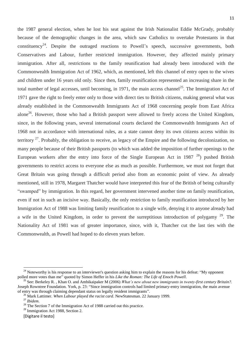the 1987 general election, when he lost his seat against the Irish Nationalist Eddie McGrady, probably because of the demographic changes in the area, which saw Catholics to overtake Protestants in that constituency<sup>24</sup>. Despite the outraged reactions to Powell's speech, successive governments, both Conservatives and Labour, further restricted immigration. However, they affected mainly primary immigration. After all, restrictions to the family reunification had already been introduced with the Commonwealth Immigration Act of 1962, which, as mentioned, left this channel of entry open to the wives and children under 16 years old only. Since then, family reunification represented an increasing share in the total number of legal accesses, until becoming, in 1971, the main access channel<sup>25</sup>. The Immigration Act of 1971 gave the right to freely enter only to those with direct ties to British citizens, making general what was already established in the Commonwealth Immigrants Act of 1968 concerning people from East Africa alone<sup>26</sup>. However, those who had a British passport were allowed to freely access the United Kingdom, since, in the following years, several international courts declared the Commonwealth Immigrants Act of 1968 not in accordance with international rules, as a state cannot deny its own citizens access within its territory  $27$ . Probably, the obligation to receive, as legacy of the Empire and the following decolonization, so many people because of their British passports (to which was added the imposition of further openings to the European workers after the entry into force of the Single European Act in 1987<sup>28</sup>) pushed British governments to restrict access to everyone else as much as possible. Furthermore, we must not forget that Great Britain was going through a difficult period also from an economic point of view. As already mentioned, still in 1978, Margaret Thatcher would have interpreted this fear of the British of being culturally "swamped" by immigration. In this regard, her government intervened another time on family reunification, even if not in such an incisive way. Basically, the only restriction to family reunification introduced by her Immigration Act of 1988 was limiting family reunification to a single wife, denying it to anyone already had a wife in the United Kingdom, in order to prevent the surreptitious introduction of polygamy  $29$ . The Nationality Act of 1981 was of greater importance, since, with it, Thatcher cut the last ties with the Commonwealth, as Powell had hoped to do eleven years before.

 $\overline{\phantom{a}}$ 

<sup>&</sup>lt;sup>24</sup> Noteworthy is his response to an interviewer's question asking him to explain the reasons for his defeat: "My opponent" polled more votes than me" quoted by Simon Heffer in his *Like the Roman: The Life of Enoch Powell*.

<sup>25</sup> See: Berkeley R. , Khan O. and Ambikaipaker M (2006) *What's new about new immigrants in twenty-first century Britain?.* Joseph Rowntree Foundation. York, p. 23: "Since immigration controls had limited primary-entry immigration, the main avenue of entry was through claiming dependant status on legally resident immigrants".

<sup>26</sup> Mark Lattimer. *When Labour played the racist card*. NewStatesman. 22 January 1999.

<sup>27</sup> *Ibidem*.

<sup>&</sup>lt;sup>28</sup> The Section 7 of the Immigration Act of 1988 carried out this practice.

<sup>&</sup>lt;sup>29</sup> Immigration Act 1988, Section 2.

<sup>[</sup>Digitare il testo]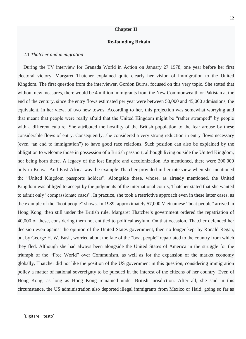# **Chapter II**

# **Re-founding Britain**

#### 2.1 *Thatcher and immigration*

During the TV interview for Granada World in Action on January 27 1978, one year before her first electoral victory, Margaret Thatcher explained quite clearly her vision of immigration to the United Kingdom. The first question from the interviewer, Gordon Burns, focused on this very topic. She stated that without new measures, there would be 4 million immigrants from the New Commonwealth or Pakistan at the end of the century, since the entry flows estimated per year were between 50,000 and 45,000 admissions, the equivalent, in her view, of two new towns. According to her, this projection was somewhat worrying and that meant that people were really afraid that the United Kingdom might be "rather swamped" by people with a different culture. She attributed the hostility of the British population to the fear arouse by these considerable flows of entry. Consequently, she considered a very strong reduction in entry flows necessary (even "an end to immigration") to have good race relations. Such position can also be explained by the obligation to welcome those in possession of a British passport, although living outside the United Kingdom, nor being born there. A legacy of the lost Empire and decolonization. As mentioned, there were 200,000 only in Kenya. And East Africa was the example Thatcher provided in her interview when she mentioned the "United Kingdom passports holders". Alongside these, whose, as already mentioned, the United Kingdom was obliged to accept by the judgments of the international courts, Thatcher stated that she wanted to admit only "compassionate cases". In practice, she took a restrictive approach even in these latter cases, as the example of the "boat people" shows. In 1989, approximately 57,000 Vietnamese "boat people" arrived in Hong Kong, then still under the British rule. Margaret Thatcher's government ordered the repatriation of 40,000 of these, considering them not entitled to political asylum. On that occasion, Thatcher defended her decision even against the opinion of the United States government, then no longer kept by Ronald Regan, but by George H. W. Bush, worried about the fate of the "boat people" repatriated to the country from which they fled. Although she had always been alongside the United States of America in the struggle for the triumph of the "Free World" over Communism, as well as for the expansion of the market economy globally, Thatcher did not like the position of the US government in this question, considering immigration policy a matter of national sovereignty to be pursued in the interest of the citizens of her country. Even of Hong Kong, as long as Hong Kong remained under British jurisdiction. After all, she said in this circumstance, the US administration also deported illegal immigrants from Mexico or Haiti, going so far as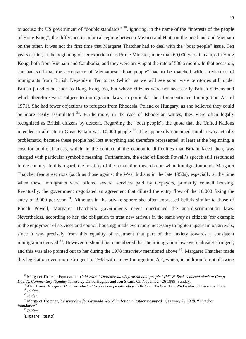to accuse the US government of "double standards" <sup>30</sup>. Ignoring, in the name of the "interests of the people of Hong Kong", the difference in political regime between Mexico and Haiti on the one hand and Vietnam on the other. It was not the first time that Margaret Thatcher had to deal with the "boat people" issue. Ten years earlier, at the beginning of her experience as Prime Minister, more than 60,000 were in camps in Hong Kong, both from Vietnam and Cambodia, and they were arriving at the rate of 500 a month. In that occasion, she had said that the acceptance of Vietnamese "boat people" had to be matched with a reduction of immigrants from British Dependent Territories (which, as we will see soon, were territories still under British jurisdiction, such as Hong Kong too, but whose citizens were not necessarily British citizens and which therefore were subject to immigration laws, in particular the aforementioned Immigration Act of 1971). She had fewer objections to refugees from Rhodesia, Poland or Hungary, as she believed they could be more easily assimilated <sup>31</sup>. Furthermore, in the case of Rhodesian whites, they were often legally recognized as British citizens by descent. Regarding the "boat people", the quota that the United Nations intended to allocate to Great Britain was  $10,000$  people  $32$ . The apparently contained number was actually problematic, because these people had lost everything and therefore represented, at least at the beginning, a cost for public finances, which, in the context of the economic difficulties that Britain faced then, was charged with particular symbolic meaning. Furthermore, the echo of Enoch Powell's speech still resounded in the country. In this regard, the hostility of the population towards non-white immigration made Margaret Thatcher fear street riots (such as those against the West Indians in the late 1950s), especially at the time when these immigrants were offered several services paid by taxpayers, primarily council housing. Eventually, the government negotiated an agreement that diluted the entry flow of the 10,000 fixing the entry of 3,000 per year <sup>33</sup>. Although in the private sphere she often expressed beliefs similar to those of Enoch Powell, Margaret Thatcher's governments never questioned the anti-discrimination laws. Nevertheless, according to her, the obligation to treat new arrivals in the same way as citizens (for example in the enjoyment of services and council housing) made even more necessary to tighten upstream on arrivals, since it was precisely from this equality of treatment that part of the anxiety towards a consistent immigration derived <sup>34</sup>. However, it should be remembered that the immigration laws were already stringent, and this was also pointed out to her during the 1978 interview mentioned above <sup>35</sup>. Margaret Thatcher made this legislation even more stringent in 1988 with a new Immigration Act, which, in addition to not allowing

<sup>&</sup>lt;sup>30</sup> Margaret Thatcher Foundation. *Cold War: "Thatcher stands firm on boat people" (MT & Bush reported clash at Camp David). Commentary (Sunday Times)* by David Hughes and Jon Swain. On November 26 1989, Sunday.

<sup>&</sup>lt;sup>31</sup> Alan Travis. *Margaret Thatcher reluctant to give boat people refuge in Britain*. The Guardian. Wednesday 30 December 2009. <sup>32</sup> *Ibidem*.

<sup>33</sup> *Ibidem*.

<sup>34</sup> Margaret Thatcher, *TV Interview for Granada World in Action ("rather swamped")*, January 27 1978. "Thatcher foundation".

<sup>35</sup> *Ibidem*.

<sup>[</sup>Digitare il testo]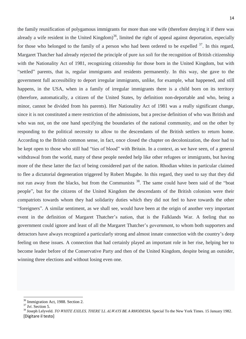the family reunification of polygamous immigrants for more than one wife (therefore denying it if there was already a wife resident in the United Kingdom)<sup>36</sup>, limited the right of appeal against deportation, especially for those who belonged to the family of a person who had been ordered to be expelled  $37$ . In this regard, Margaret Thatcher had already rejected the principle of pure *ius soli* for the recognition of British citizenship with the Nationality Act of 1981, recognizing citizenship for those born in the United Kingdom, but with "settled" parents, that is, regular immigrants and residents permanently. In this way, she gave to the government full accessibility to deport irregular immigrants, unlike, for example, what happened, and still happens, in the USA, when in a family of irregular immigrants there is a child born on its territory (therefore, automatically, a citizen of the United States, by definition non-deportable and who, being a minor, cannot be divided from his parents). Her Nationality Act of 1981 was a really significant change, since it is not constituted a mere restriction of the admissions, but a precise definition of who was British and who was not, on the one hand specifying the boundaries of the national community, and on the other by responding to the political necessity to allow to the descendants of the British settlers to return home. According to the British common sense, in fact, once closed the chapter on decolonization, the door had to be kept open to those who still had "ties of blood" with Britain. In a context, as we have seen, of a general withdrawal from the world, many of these people needed help like other refugees or immigrants, but having more of the these latter the fact of being considered part of the nation. Rhodian whites in particular claimed to flee a dictatorial degeneration triggered by Robert Mugabe. In this regard, they used to say that they did not run away from the blacks, but from the Communists <sup>38</sup>. The same could have been said of the "boat people", but for the citizens of the United Kingdom the descendants of the British colonists were their compatriots towards whom they had solidarity duties which they did not feel to have towards the other "foreigners". A similar sentiment, as we shall see, would have been at the origin of another very important event in the definition of Margaret Thatcher's nation, that is the Falklands War. A feeling that no government could ignore and least of all the Margaret Thatcher's government, to whom both supporters and detractors have always recognized a particularly strong and almost innate connection with the country's deep feeling on these issues. A connection that had certainly played an important role in her rise, helping her to become leader before of the Conservative Party and then of the United Kingdom, despite being an outsider, winning three elections and without losing even one.

 $\overline{\phantom{a}}$ 

<sup>&</sup>lt;sup>36</sup> Immigration Act, 1988. Section 2.

<sup>37</sup> *Ivi*. Section 5.

<sup>[</sup>Digitare il testo] <sup>38</sup> Joseph Lelyveld. *TO WHITE EXILES, THERE'LL ALWAYS BE A RHODESIA*. Special To the New York Times. 15 January 1982.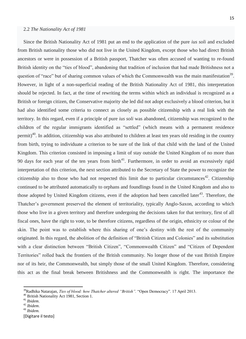# 2.2 *The Nationality Act of 1981*

Since the British Nationality Act of 1981 put an end to the application of the pure *ius soli* and excluded from British nationality those who did not live in the United Kingdom, except those who had direct British ancestors or were in possession of a British passport, Thatcher was often accused of wanting to re-found British identity on the "ties of blood", abandoning that tradition of inclusion that had made Britishness not a question of "race" but of sharing common values of which the Commonwealth was the main manifestation<sup>39</sup>. However, in light of a non-superficial reading of the British Nationality Act of 1981, this interpretation should be rejected. In fact, at the time of rewriting the terms within which an individual is recognized as a British or foreign citizen, the Conservative majority she led did not adopt exclusively a blood criterion, but it had also identified some criteria to connect as closely as possible citizenship with a real link with the territory. In this regard, even if a principle of pure *ius soli* was abandoned, citizenship was recognized to the children of the regular immigrants identified as "settled" (which means with a permanent residence permit)<sup>40</sup>. In addition, citizenship was also attributed to children at least ten years old residing in the country from birth, trying to individuate a criterion to be sure of the link of that child with the land of the United Kingdom. This criterion consisted in imposing a limit of stay outside the United Kingdom of no more than 90 days for each year of the ten years from birth $41$ . Furthermore, in order to avoid an excessively rigid interpretation of this criterion, the next section attributed to the Secretary of State the power to recognize the citizenship also to those who had not respected this limit due to particular circumstances<sup>42</sup>. Citizenship continued to be attributed automatically to orphans and foundlings found in the United Kingdom and also to those adopted by United Kingdom citizens, even if the adoption had been cancelled later<sup>43</sup>. Therefore, the Thatcher's government preserved the element of territoriality, typically Anglo-Saxon, according to which those who live in a given territory and therefore undergoing the decisions taken for that territory, first of all fiscal ones, have the right to vote, to be therefore citizens, regardless of the origin, ethnicity or colour of the skin. The point was to establish where this sharing of one's destiny with the rest of the community originated. In this regard, the abolition of the definition of "British Citizen and Colonies" and its substitution with a clear distinction between "British Citizen", "Commonwealth Citizen" and "Citizen of Dependent Territories" rolled back the frontiers of the British community. No longer those of the vast British Empire nor of its heir, the Commonwealth, but simply those of the small United Kingdom. Therefore, considering this act as the final break between Britishness and the Commonwealth is right. The importance the

<sup>39</sup>Radhika Natarajan, *Ties of blood: how Thatcher altered "British".* "Open Democracy". 17 April 2013.

<sup>40</sup> British Nationality Act 1981, Section 1.

<sup>41</sup> *Ibidem*.

<sup>42</sup> *Ibidem*.

<sup>43</sup> *Ibidem.*

<sup>[</sup>Digitare il testo]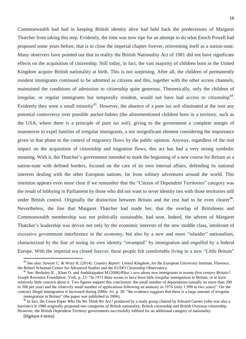Commonwealth had had in keeping British identity alive had held back the predecessors of Margaret Thatcher from taking this step. Evidently, the time was now ripe for an attempt to do what Enoch Powell had proposed some years before, that is to close the imperial chapter forever, reinventing itself as a nation-state. Many observers have pointed out that in reality the British Nationality Act of 1981 did not have significant effects on the acquisition of citizenship. Still today, in fact, the vast majority of children born in the United Kingdom acquire British nationality at birth. This is not surprising. After all, the children of permanently resident immigrants continued to be admitted as citizens and this, together with the other access channels, maintained the conditions of admission to citizenship quite generous. Theoretically, only the children of irregular, or regular immigrants but temporally resident, would not have had access to citizenship<sup>44</sup>. Evidently they were a small minority<sup>45</sup>. However, the absence of a pure *ius soli* eliminated at the root any potential controversy over possible anchor-babies (the aforementioned children born in a territory, such as the USA, where there is a principle of pure *ius soli*), giving to the government a complete margin of manoeuvre to expel families of irregular immigrants, a not insignificant element considering the importance given in that phase to the control of migratory flows by the public opinion. Anyway, regardless of the real impact on the acquisition of citizenship and migration flows, this act has had a very strong symbolic meaning. With it, the Thatcher's government intended to mark the beginning of a new course for Britain as a nation-state with defined borders, focused on the care of its own internal affairs, defending its national interests dealing with the other European nations, far from solitary adventures around the world. This intention appears even more clear if we remember that the "Citizen of Dependent Territories" category was the result of lobbying in Parliament by those who did not want to sever identity ties with those territories still under British control. Originally the distinction between Britain and the rest had to be even clearer<sup>46</sup>. Nevertheless, the line that Margaret Thatcher had made her, that the overlap of Britishness and Commonwealth membership was not politically sustainable, had won. Indeed, the advent of Margaret Thatcher's leadership was driven not only by the economic interests of the new middle class, intolerant of excessive government interference in the economy, but also by a new and more "islander" nationalism, characterized by the fear of seeing its own identity "swamped" by immigration and engulfed by a federal Europe. With the imperial era closed forever, these people felt comfortable living in a new "Little Britain"

<sup>44</sup> See also: Sawyer C. & Wray H. (2014). *Country Report: United Kingdom*, for the European University Institute, Florence, the Robert Schuman Centre for Advanced Studies and the EUDO Citizenship Observatory.

<sup>45</sup> See: Berkeley R. , Khan O. and Ambikaipaker M (2006)*What's new about new immigrants in twenty-first century Britain?.* Joseph Rowntree Foundation. York, p. 23: "In 1971 there seems to have been little irregular immigration to Britain, or at least relatively little concern about it. Two figures support this conclusion: the small number of deportations (usually no more than 200 to 300 per year) and the relatively small number of applications following an amnesty in 1974 (only 1,990 in two years)". On the contrary illegal immigration is increased during 2000s: *Ivi*, p. 30: "the evidence suggests that there is a large amount of irregular

immigration in Britain" (the paper was published in 2006).

<sup>&</sup>lt;sup>46</sup> In fact, the Green Paper *Who Do We Think We Are?* produced by a study group chaired by Edward Garner (who was also a barrister) in 1980 originally proposed two categories of British nationality, British citizenship and British Overseas citizenship. However, the British Dependent Territory governments successfully lobbied for an additional category of nationality.

<sup>[</sup>Digitare il testo]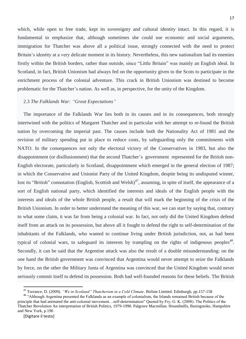which, while open to free trade, kept its sovereignty and cultural identity intact. In this regard, it is fundamental to emphasize that, although sometimes she could use economic and social arguments, immigration for Thatcher was above all a political issue, strongly connected with the need to protect Britain's identity at a very delicate moment in its history. Nevertheless, this new nationalism had its enemies firstly within the British borders, rather than outside, since "Little Britain" was mainly an English ideal. In Scotland, in fact, British Unionism had always fed on the opportunity given to the Scots to participate in the enrichment process of the colonial adventure. This crack in British Unionism was destined to become problematic for the Thatcher's nation. As well as, in perspective, for the unity of the Kingdom.

# 2.3 *The Falklands War: "Great Expectations"*

The importance of the Falklands War lies both in its causes and in its consequences, both strongly intertwined with the politics of Margaret Thatcher and in particular with her attempt to re-found the British nation by overcoming the imperial past. The causes include both the Nationality Act of 1981 and the revision of military spending put in place to reduce costs, by safeguarding only the commitments with NATO. In the consequences not only the electoral victory of the Conservatives in 1983, but also the disappointment (or disillusionment) that the second Thatcher's government represented for the British non-English electorate, particularly in Scotland, disappointment which emerged in the general election of 1987; in which the Conservative and Unionist Party of the United Kingdom, despite being its undisputed winner, lost its "British" connotation (English, Scottish and Welsh) $47$ , assuming, in spite of itself, the appearance of a sort of English national party, which identified the interests and ideals of the English people with the interests and ideals of the whole British people, a result that will mark the beginning of the crisis of the British Unionism. In order to better understand the meaning of this war, we can start by saying that, contrary to what some claim, it was far from being a colonial war. In fact, not only did the United Kingdom defend itself from an attack on its possession, but above all it fought to defend the right to self-determination of the inhabitants of the Falklands, who wanted to continue living under British jurisdiction, not, as had been typical of colonial wars, to safeguard its interests by trampling on the rights of indigenous peoples<sup>48</sup>. Secondly, it can be said that the Argentine attack was also the result of a double misunderstanding: on the one hand the British government was convinced that Argentina would never attempt to seize the Falklands by force, on the other the Military Junta of Argentina was convinced that the United Kingdom would never seriously commit itself to defend its possession. Both had well-founded reasons for these beliefs. The British

<sup>47</sup> Torrance, D. (2009). *"We in Scotland" Thatcherism in a Cold Climate*. Birlinn Limited. Edinburgh, pp.157-158

<sup>&</sup>lt;sup>48</sup> "Although Argentina presented the Falklands as an example of colonialism, the Islands remained British because of the principle that had animated the anti-colonial movement…self-determination" Quoted by Fry, G. K. (2008). The Politics of the Thatcher Revolution An interpretation of British Politics, 1979-1990. Palgrave Macmillan. Houndmills, Basingstoke, Hampshire and New York, p.190

<sup>[</sup>Digitare il testo]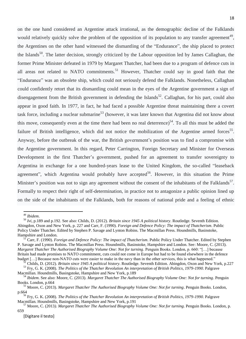on the one hand considered an Argentine attack irrational, as the demographic decline of the Falklands would relatively quickly solve the problem of the opposition of its population to any transfer agreement<sup>49</sup>, the Argentines on the other hand witnessed the dismantling of the "Endurance", the ship placed to protect the Islands<sup>50</sup>. The latter decision, strongly criticized by the Labour opposition led by James Callaghan, the former Prime Minister defeated in 1979 by Margaret Thatcher, had been due to a program of defence cuts in all areas not related to NATO commitments.<sup>51</sup> However, Thatcher could say in good faith that the "Endurance" was an obsolete ship, which could not seriously defend the Falklands. Nonetheless, Callaghan could confidently retort that its dismantling could mean in the eyes of the Argentine government a sign of disengagement from the British government in defending the Islands<sup>52</sup>. Callaghan, for his part, could also appear in good faith. In 1977, in fact, he had faced a possible Argentine threat maintaining there a covert task force, including a nuclear submarine<sup>53</sup> (however, it was later known that Argentina did not know about this move, consequently even at the time there had been no real deterrence)<sup>54</sup>. To all this must be added the failure of British intelligence, which did not notice the mobilization of the Argentine armed forces<sup>55</sup>. Anyway, before the outbreak of the war, the British government's position was to find a compromise with the Argentine government. In this regard, Peter Carrington, Foreign Secretary and Minister for Overseas Development in the first Thatcher's government, pushed for an agreement to transfer sovereignty to Argentina in exchange for a one hundred-years lease to the United Kingdom, the so-called "leaseback agreement", which Argentina would probably have accepted<sup>56</sup>. However, in this situation the Prime Minister's position was not to sign any agreement without the consent of the inhabitants of the Falklands<sup>57</sup>. Formally to respect their right of self-determination, in practice not to antagonize a public opinion lined up on the side of the inhabitants of the Falklands, both for reasons of national pride and a feeling of ethnic

 $\overline{a}$ <sup>49</sup> *Ibidem*.

<sup>50</sup> *Ivi*, p.189 and p.192. See also: Childs, D. (2012). *Britain since 1945 A political history*. Routledge. Seventh Edition. Abingdon, Oxon and New York, p. 227 and Carr, F. (1990). *Foreign and Defence Policy: The impact of Thatcherism*. Public Policy Under Thatcher. Edited by Stephen P. Savage and Lynton Robins. The Macmillan Press. Houndmills, Basinstoke, Hampshire and London.

<sup>&</sup>lt;sup>T</sup> Carr, F. (1990). *Foreign and Defence Policy: The impact of Thatcherism*. Public Policy Under Thatcher. Edited by Stephen P. Savage and Lynton Robins. The Macmillan Press. Houndmills, Basinstoke, Hampshire and London. See: Moore, C. (2013). *Margaret Thatcher The Authorised Biography Volume One: Not for turning*. Penguin Books. London, p. 660: "[…] because Britain had made promises to NATO commitment, cuts could not come in Europe but had to be found elsewhere in the defence budget […] Because non-NATO cuts were easier to make in the navy than in the other services, this is what happened."

<sup>52</sup> Childs, D. (2012). *Britain since 1945 A political history*. Routledge. Seventh Edition. Abingdon, Oxon and New York, p.227

<sup>53</sup> Fry, G. K. (2008). *The Politics of the Thatcher Revolution An interpretation of British Politics, 1979-1990*. Palgrave Macmillan. Houndmills, Basingstoke, Hampshire and New York, p.189

<sup>54</sup> *Ibidem*. See also: Moore, C. (2013). *Margaret Thatcher The Authorised Biography Volume One: Not for turning*. Penguin Books. London, p.664

<sup>55</sup> Moore, C. (2013). *Margaret Thatcher The Authorised Biography Volume One: Not for turning*. Penguin Books. London, p.664

<sup>56</sup> Fry, G. K. (2008). *The Politics of the Thatcher Revolution An interpretation of British Politics, 1979-1990*. Palgrave Macmillan. Houndmills, Basingstoke, Hampshire and New York, p.191

<sup>57</sup> Moore, C. (2013*). Margaret Thatcher The Authorised Biography Volume One: Not for turning*. Penguin Books. London, p. 659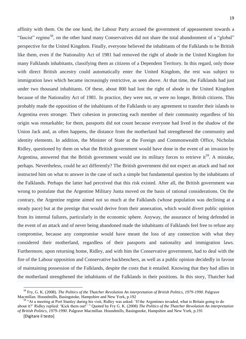affinity with them. On the one hand, the Labour Party accused the government of appeasement towards a "fascist" regime<sup>58</sup>, on the other hand many Conservatives did not share the total abandonment of a "global" perspective for the United Kingdom. Finally, everyone believed the inhabitants of the Falklands to be British like them, even if the Nationality Act of 1981 had removed the right of abode in the United Kingdom for many Falklands inhabitants, classifying them as citizens of a Dependent Territory. In this regard, only those with direct British ancestry could automatically enter the United Kingdom, the rest was subject to immigration laws which became increasingly restrictive, as seen above. At that time, the Falklands had just under two thousand inhabitants. Of these, about 800 had lost the right of abode in the United Kingdom because of the Nationality Act of 1981. In practice, they were not, or were no longer, British citizens. This probably made the opposition of the inhabitants of the Falklands to any agreement to transfer their islands to Argentina even stronger. Their cohesion in protecting each member of their community regardless of his origin was remarkable; for them, passports did not count because everyone had lived in the shadow of the Union Jack and, as often happens, the distance from the motherland had strengthened the community and identity elements. In addition, the Minister of State at the Foreign and Commonwealth Office, Nicholas Ridley, questioned by them on what the British government would have done in the event of an invasion by Argentina, answered that the British government would use its military forces to retrieve it<sup>59</sup>. A mistake, perhaps. Nevertheless, could he act differently? The British government did not expect an attack and had not instructed him on what to answer in the case of such a simple but fundamental question by the inhabitants of the Falklands. Perhaps the latter had perceived that this risk existed. After all, the British government was wrong to postulate that the Argentine Military Junta moved on the basis of rational considerations. On the contrary, the Argentine regime aimed not so much at the Falklands (whose population was declining at a steady pace) but at the prestige that would derive from their annexation, which would divert public opinion from its internal failures, particularly in the economic sphere. Anyway, the assurance of being defended in the event of an attack and of never being abandoned made the inhabitants of Falklands feel free to refuse any compromise, because any compromise would have meant the loss of any connection with what they considered their motherland, regardless of their passports and nationality and immigration laws. Furthermore, upon returning home, Ridley, and with him the Conservative government, had to deal with the fire of the Labour opposition and Conservative backbenchers, as well as a public opinion decidedly in favour of maintaining possession of the Falklands, despite the costs that it entailed. Knowing that they had allies in the motherland strengthened the inhabitants of the Falklands in their positions. In this story, Thatcher had

<sup>58</sup> Fry, G. K. (2008). *The Politics of the Thatcher Revolution An interpretation of British Politics, 1979-1990*. Palgrave Macmillan. Houndmills, Basingstoke, Hampshire and New York, p.192

<sup>&</sup>lt;sup>59</sup> "At a meeting at Port Stanley during his visit, Ridley was asked: 'If the Argentines invaded, what is Britain going to do

about it?' Ridley replied: 'Kick them out!' " Quoted by Fry G. K. (2008) *The Politics of the Thatcher Revolution An interpretation of British Politics, 1979-1990*. Palgrave Macmillan. Houndmills, Basingstoke, Hampshire and New York, p.191

<sup>[</sup>Digitare il testo]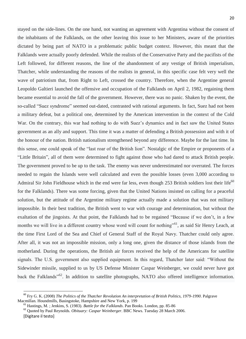stayed on the side-lines. On the one hand, not wanting an agreement with Argentina without the consent of the inhabitants of the Falklands, on the other leaving this issue to her Ministers, aware of the priorities dictated by being part of NATO in a problematic public budget context. However, this meant that the Falklands were actually poorly defended. While the realists of the Conservative Party and the pacifists of the Left followed, for different reasons, the line of the abandonment of any vestige of British imperialism, Thatcher, while understanding the reasons of the realists in general, in this specific case felt very well the wave of patriotism that, from Right to Left, crossed the country. Therefore, when the Argentine general Leopoldo Galtieri launched the offensive and occupation of the Falklands on April 2, 1982, regaining them became essential to avoid the fall of the government. However, there was no panic. Shaken by the event, the so-called "Suez syndrome" seemed out-dated, contrasted with rational arguments. In fact, Suez had not been a military defeat, but a political one, determined by the American intervention in the context of the Cold War. On the contrary, this war had nothing to do with Suez's dynamics and in fact saw the United States government as an ally and support. This time it was a matter of defending a British possession and with it of the honour of the nation. British nationalism strengthened beyond any difference. Maybe for the last time. In this sense, one could speak of the "last roar of the British lion". Nostalgic of the Empire or proponents of a "Little Britain", all of them were determined to fight against those who had dared to attack British people. The government proved to be up to the task. The enemy was never underestimated nor overrated. The forces needed to regain the Islands were well calculated and even the possible losses (even 3,000 according to Admiral Sir John Fieldhouse which in the end were far less, even though 253 British soldiers lost their life<sup>60</sup> for the Falklands). There was some forcing, given that the United Nations insisted on calling for a peaceful solution, but the attitude of the Argentine military regime actually made a solution that was not military impossible. In their best tradition, the British went to war with courage and determination, but without the exaltation of the jingoists. At that point, the Falklands had to be regained "Because if we don't, in a few months we will live in a different country whose word will count for nothing"<sup>61</sup>, as said Sir Henry Leach, at the time First Lord of the Sea and Chief of General Staff of the Royal Navy. Thatcher could only agree. After all, it was not an impossible mission, only a long one, given the distance of those islands from the motherland. During the operations, the British air forces received the help of the Americans for satellite signals. The U.S. government also supplied equipment. In this regard, Thatcher later said: "Without the Sidewinder missile, supplied to us by US Defense Minister Caspar Weinberger, we could never have got back the Falklands<sup>"62</sup>. In addition to satellite photographs, NATO also offered intelligence information.

<sup>60</sup> Fry G. K. (2008) *The Politics of the Thatcher Revolution An interpretation of British Politics, 1979-1990*. Palgrave Macmillan. Houndmills, Basingstoke, Hampshire and New York, p. 199

<sup>[</sup>Digitare il testo] <sup>61</sup> Hastings, M. ; Jenkins, S. (1983). *Battle for the Falklands*. Pan Books. London, pp. 85-86 <sup>62</sup> Quoted by Paul Reynolds. *Obituary: Caspar Weinberger*. BBC News. Tuesday 28 March 2006.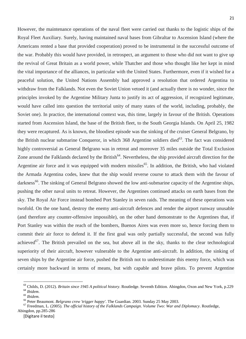21

However, the maintenance operations of the naval fleet were carried out thanks to the logistic ships of the Royal Fleet Auxiliary. Surely, having maintained naval bases from Gibraltar to Ascension Island (where the Americans rented a base that provided cooperation) proved to be instrumental in the successful outcome of the war. Probably this would have provided, in retrospect, an argument to those who did not want to give up the revival of Great Britain as a world power, while Thatcher and those who thought like her kept in mind the vital importance of the alliances, in particular with the United States. Furthermore, even if it wished for a peaceful solution, the United Nations Assembly had approved a resolution that ordered Argentina to withdraw from the Falklands. Not even the Soviet Union vetoed it (and actually there is no wonder, since the principles invoked by the Argentine Military Junta to justify its act of aggression, if recognized legitimate, would have called into question the territorial unity of many states of the world, including, probably, the Soviet one). In practice, the international context was, this time, largely in favour of the British. Operations started from Ascension Island, the base of the British fleet, to the South Georgia Islands. On April 25, 1982 they were recaptured. As is known, the bloodiest episode was the sinking of the cruiser General Belgrano, by the British nuclear submarine Conqueror, in which 368 Argentine soldiers died<sup>63</sup>. The fact was considered highly controversial as General Belgrano was in retreat and moreover 35 miles outside the Total Exclusion Zone around the Falklands declared by the British<sup>64</sup>. Nevertheless, the ship provided aircraft direction for the Argentine air force and it was equipped with modern missiles<sup>65</sup>. In addition, the British, who had violated the Armada Argentina codes, knew that the ship would reverse course to attack them with the favour of darkness<sup>66</sup>. The sinking of General Belgrano showed the low anti-submarine capacity of the Argentine ships, pushing the other naval units to retreat. However, the Argentines continued attacks on earth bases from the sky. The Royal Air Force instead bombed Port Stanley in seven raids. The meaning of these operations was twofold. On the one hand, destroy the enemy anti-aircraft defences and render the airport runway unusable (and therefore any counter-offensive impossible), on the other hand demonstrate to the Argentines that, if Port Stanley was within the reach of the bombers, Buenos Aires was even more so, hence forcing them to commit their air force to defend it. If the first goal was only partially successful, the second was fully achieved $^{67}$ . The British prevailed on the sea, but above all in the sky, thanks to the clear technological superiority of their aircraft, however vulnerable to the Argentine anti-aircraft. In addition, the sinking of seven ships by the Argentine air force, pushed the British not to underestimate this enemy force, which was certainly more backward in terms of means, but with capable and brave pilots. To prevent Argentine

 $\overline{\phantom{a}}$ 

<sup>63</sup> Childs, D. (2012). *Britain since 1945 A political history*. Routledge. Seventh Edition. Abingdon, Oxon and New York, p.229 <sup>64</sup> *Ibidem*.

<sup>65</sup> *Ibidem.*

<sup>66</sup> Peter Beaumont. *Belgrano crew 'trigger happy'*. The Guardian. 2003. Sunday 25 May 2003.

<sup>67</sup> Freedman, L. (2005). *The official history of the Falklands Campaign. Volume Two: War and Diplomacy*. Routledge, Abingdon, pp.285-286

<sup>[</sup>Digitare il testo]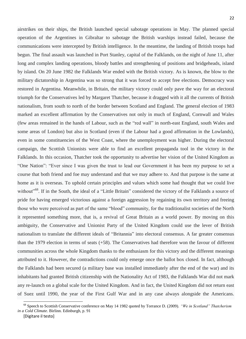airstrikes on their ships, the British launched special sabotage operations in May. The planned special operation of the Argentines in Gibraltar to sabotage the British warships instead failed, because the communications were intercepted by British intelligence. In the meantime, the landing of British troops had begun. The final assault was launched in Port Stanley, capital of the Falklands, on the night of June 11, after long and complex landing operations, bloody battles and strengthening of positions and bridgeheads, island by island. On 20 June 1982 the Falklands War ended with the British victory. As is known, the blow to the military dictatorship in Argentina was so strong that it was forced to accept free elections. Democracy was restored in Argentina. Meanwhile, in Britain, the military victory could only pave the way for an electoral triumph for the Conservatives led by Margaret Thatcher, because it dragged with it all the currents of British nationalism, from south to north of the border between Scotland and England. The general election of 1983 marked an excellent affirmation by the Conservatives not only in much of England, Cornwall and Wales (few areas remained in the hands of Labour, such as the "red wall" in north-east England, south Wales and some areas of London) but also in Scotland (even if the Labour had a good affirmation in the Lowlands), even in some constituencies of the West Coast, where the unemployment was higher. During the electoral campaign, the Scottish Unionists were able to find an excellent propaganda tool in the victory in the Falklands. In this occasion, Thatcher took the opportunity to advertise her vision of the United Kingdom as "One Nation": "Ever since I was given the trust to lead our Government it has been my purpose to set a course that both friend and foe may understand and that we may adhere to. And that purpose is the same at home as it is overseas. To uphold certain principles and values which some had thought that we could live without<sup>"68</sup>. If in the South, the ideal of a "Little Britain" considered the victory of the Falklands a source of pride for having emerged victorious against a foreign aggression by regaining its own territory and freeing those who were perceived as part of the same "blood" community, for the traditionalist societies of the North it represented something more, that is, a revival of Great Britain as a world power. By moving on this ambiguity, the Conservative and Unionist Party of the United Kingdom could use the lever of British nationalism to translate the different ideals of "Britannia" into electoral consensus. A far greater consensus than the 1979 election in terms of seats (+58). The Conservatives had therefore won the favour of different communities across the whole Kingdom thanks to the enthusiasm for this victory and the different meanings attributed to it. However, the contradictions could only emerge once the ballot box closed. In fact, although the Falklands had been secured (a military base was installed immediately after the end of the war) and its inhabitants had granted British citizenship with the Nationality Act of 1983, the Falklands War did not mark any re-launch on a global scale for the United Kingdom. And in fact, the United Kingdom did not return east of Suez until 1990, the year of the First Gulf War and in any case always alongside the Americans.

l

<sup>68</sup> Speech to Scottish Conservative conference on May 14 1982 quoted by Torrance D. (2009). *"We in Scotland" Thatcherism in a Cold Climate*. Birlinn. Edinburgh, p. 91

<sup>[</sup>Digitare il testo]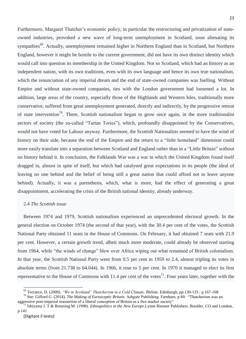Furthermore, Margaret Thatcher's economic policy, in particular the restructuring and privatization of stateowned industries, provoked a new wave of long-term unemployment in Scotland, soon alienating its sympathies<sup>69</sup>. Actually, unemployment remained higher in Northern England than in Scotland, but Northern England, however it might be hostile to the current government, did not have its own distinct identity which would call into question its membership in the United Kingdom. Not so Scotland, which had an history as an independent nation, with its own traditions, even with its own language and hence its own true nationalism, which the renunciation of any imperial dream and the end of state-owned companies was fuelling. Without Empire and without state-owned companies, ties with the London government had loosened a lot. In addition, large areas of the country, especially those of the Highlands and Western Isles, traditionally more conservative, suffered from great unemployment generated, directly and indirectly, by the progressive retreat of state intervention<sup>70</sup>. There, Scottish nationalism began to grow once again, in the more traditionalist sectors of society (the so-called "Tartan Tories"), which, profoundly disappointed by the Conservatives, would not have voted for Labour anyway. Furthermore, the Scottish Nationalists seemed to have the wind of history on their side, because the end of the Empire and the return to a "little homeland" dimension could more easily translate into a separation between Scotland and England rather than in a "Little Britain" without no history behind it. In conclusion, the Falklands War was a war in which the United Kingdom found itself dragged in, almost in spite of itself, but which had catalysed great expectations in its people (the ideal of leaving no one behind and the belief of being still a great nation that could afford not to leave anyone behind). Actually, it was a parenthesis, which, what is more, had the effect of generating a great disappointment, accelerating the crisis of the British national identity, already underway.

# 2.4 *The Scottish issue*

Between 1974 and 1979, Scottish nationalism experienced an unprecedented electoral growth. In the general election on October 1974 (the second of that year), with the 30.4 per cent of the votes, the Scottish National Party obtained 11 seats in the House of Commons. On February, it had obtained 7 seats with 21.9 per cent. However, a certain growth trend, albeit much more moderate, could already be observed starting from 1964, while "the winds of change" blew over Africa wiping out what remained of British colonialism. In that year, the Scottish National Party went from 0.5 per cent in 1959 to 2.4, almost tripling its votes in absolute terms (from 21.738 to 64.044). In 1966, it rose to 5 per cent. In 1970 it managed to elect its first representative to the House of Commons with 11.4 per cent of the votes $^{71}$ . Four years later, together with the

<sup>69</sup> Torrance, D. (2009). *"We in Scotland" Thatcherism in a Cold Climate*. Birlinn. Edinburgh, pp.130-133 ; p.167-168

<sup>70</sup> See: Gifford G. (2014). *The Making of Eurosceptic Britain.* Ashgate Publishing. Farnham, p.80: "Thatcherism was an aggressive post-imperial reassertion of a liberal conception of Britain as a free market society"

<sup>71</sup> Ishiyama J. T & Breuning M. (1998). *Ethnopolitics in the New Europe*.Lynne Rienner Publishers. Boulder, CO and London, p.141

<sup>[</sup>Digitare il testo]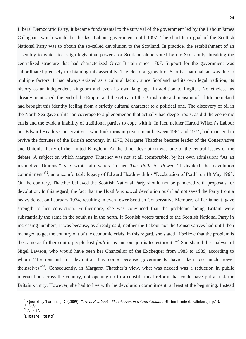Liberal Democratic Party, it became fundamental to the survival of the government led by the Labour James Callaghan, which would be the last Labour government until 1997. The short-term goal of the Scottish National Party was to obtain the so-called devolution to the Scotland. In practice, the establishment of an assembly to which to assign legislative powers for Scotland alone voted by the Scots only, breaking the centralized structure that had characterized Great Britain since 1707. Support for the government was subordinated precisely to obtaining this assembly. The electoral growth of Scottish nationalism was due to multiple factors. It had always existed as a cultural factor, since Scotland had its own legal tradition, its history as an independent kingdom and even its own language, in addition to English. Nonetheless, as already mentioned, the end of the Empire and the retreat of the British into a dimension of a little homeland had brought this identity feeling from a strictly cultural character to a political one. The discovery of oil in the North Sea gave utilitarian coverage to a phenomenon that actually had deeper roots, as did the economic crisis and the evident inability of traditional parties to cope with it. In fact, neither Harold Wilson's Labour nor Edward Heath's Conservatives, who took turns in government between 1964 and 1974, had managed to revive the fortunes of the British economy. In 1975, Margaret Thatcher became leader of the Conservative and Unionist Party of the United Kingdom. At the time, devolution was one of the central issues of the debate. A subject on which Margaret Thatcher was not at all comfortable, by her own admission: "As an instinctive Unionist" she wrote afterwards in her *The Path to Power* "I disliked the devolution commitment"<sup>72</sup>, an uncomfortable legacy of Edward Heath with his "Declaration of Perth" on 18 May 1968. On the contrary, Thatcher believed the Scottish National Party should not be pandered with proposals for devolution. In this regard, the fact that the Heath's renewed devolution push had not saved the Party from a heavy defeat on February 1974, resulting in even fewer Scottish Conservative Members of Parliament, gave strength to her conviction. Furthermore, she was convinced that the problems facing Britain were substantially the same in the south as in the north. If Scottish voters turned to the Scottish National Party in increasing numbers, it was because, as already said, neither the Labour nor the Conservatives had until then managed to get the country out of the economic crisis. In this regard, she stated "I believe that the problem is the same as further south: people lost *faith* in us and our job is to restore it."<sup>73</sup> She shared the analysis of Nigel Lawson, who would have been her Chancellor of the Exchequer from 1983 to 1989, according to whom "the demand for devolution has come because governments have taken too much power themselves<sup>"74</sup>. Consequently, in Margaret Thatcher's view, what was needed was a reduction in public intervention across the country, not opening up to a constitutional reform that could have put at risk the Britain's unity. However, she had to live with the devolution commitment, at least at the beginning. Instead

 $\overline{\phantom{a}}$ 

<sup>72</sup> Quoted by Torrance, D. (2009). *"We in Scotland" Thatcherism in a Cold Climate*. Birlinn Limited. Edinburgh, p.13.

<sup>73</sup> *Ibidem*.

<sup>74</sup> *Ivi*,p.15

<sup>[</sup>Digitare il testo]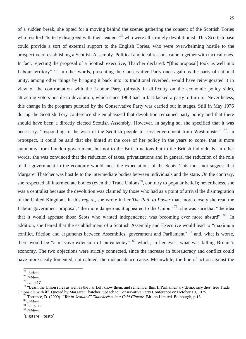of a sudden break, she opted for a moving behind the scenes gathering the consent of the Scottish Tories who resulted "bitterly disagreed with their leaders"<sup>75</sup> who were all strongly devolutionist. This Scottish base could provide a sort of external support to the English Tories, who were overwhelming hostile to the prospective of establishing a Scottish Assembly. Political and ideal reasons came together with tactical ones. In fact, rejecting the proposal of a Scottish executive, Thatcher declared: "[this proposal] took us well into Labour territory" <sup>76</sup>. In other words, presenting the Conservative Party once again as the party of national unity, among other things by bringing it back into its traditional riverbed, would have reinvigorated it in view of the confrontation with the Labour Party (already in difficulty on the economic policy side), attracting voters hostile to devolution, which since 1968 had in fact lacked a party to turn to. Nevertheless, this change in the program pursued by the Conservative Party was carried out in stages. Still in May 1976 during the Scottish Tory conference she emphasized that devolution remained party policy and that there should have been a directly elected Scottish Assembly. However, in saying so, she specified that it was necessary: "responding to the wish of the Scottish people for less government from Westminster" <sup>77</sup>. In retrospect, it could be said that she hinted at the core of her policy in the years to come, that is more autonomy from London government, but not to the British nations but to the British individuals. In other words, she was convinced that the reduction of taxes, privatizations and in general the reduction of the role of the government in the economy would meet the expectations of the Scots. This must not suggest that Margaret Thatcher was hostile to the intermediate bodies between individuals and the state. On the contrary, she respected all intermediate bodies (even the Trade Unions<sup>78</sup>, contrary to popular belief); nevertheless, she was a centralist because the devolution was claimed by those who had as a point of arrival the disintegration of the United Kingdom. In this regard, she wrote in her *The Path to Power* that, more closely she read the Labour government proposal, "the more dangerous it appeared to the Union"  $^{79}$ , she was sure that "the idea that it would appease those Scots who wanted independence was becoming ever more absurd" <sup>80</sup>. In addition, she feared that the establishment of a Scottish Assembly and Executive would lead to "maximum conflict, friction and arguments between Assemblies, government and Parliament" <sup>81</sup> and, what is worse, there would be "a massive extension of bureaucracy" <sup>82</sup> which, in her eyes, what was killing Britain's economy. The two objections were strictly connected, since the increase in bureaucracy and conflict could have more easily fomented, not calmed, the independence cause. Meanwhile, the line of action against the

<sup>82</sup> *Ibidem*.

 $\overline{a}$ <sup>75</sup> *Ibidem.*

<sup>76</sup> *Ibidem.*

<sup>77</sup> *Ivi*, p.17

<sup>&</sup>lt;sup>78</sup> "Learn the Union rules as well as the Far Left know them, and remember this. If Parliamentary democracy dies, free Trade Unions die with it". Quoted by Margaret Thatcher, Speech to Conservative Party Conference on October 10, 1975.

<sup>79</sup> Torrance, D. (2009). *"We in Scotland" Thatcherism in a Cold Climate*. Birlinn Limited. Edinburgh, p.18

<sup>80</sup> *Ibidem*.

<sup>81</sup> *Ivi*, p. 17

<sup>[</sup>Digitare il testo]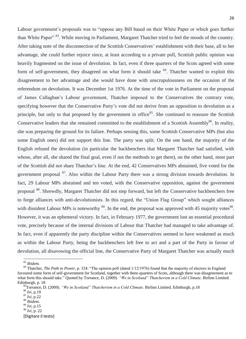Labour government's proposals was to "oppose any Bill based on their White Paper or which goes further than White Paper"<sup>83</sup>. While moving in Parliament, Margaret Thatcher tried to feel the moods of the country. After taking note of the disconnection of the Scottish Conservatives' establishment with their base, all to her advantage, she could further rejoice since, at least according to a private poll, Scottish public opinion was heavily fragmented on the issue of devolution. In fact, even if three quarters of the Scots agreed with some form of self-government, they disagreed on what form it should take <sup>84</sup>. Thatcher wanted to exploit this disagreement to her advantage and she would have done with unscrupulousness on the occasion of the referendum on devolution. It was December 1st 1976. At the time of the vote in Parliament on the proposal of James Callaghan's Labour government, Thatcher imposed to the Conservatives the contrary vote, specifying however that the Conservative Party's vote did not derive from an opposition to devolution as a principle, but only to that proposed by the government in office<sup>85</sup>. She continued to reassure the Scottish Conservative leaders that she remained committed to the establishment of a Scottish Assembly<sup>86</sup>. In reality, she was preparing the ground for its failure. Perhaps sensing this, some Scottish Conservative MPs (but also some English ones) did not support this line. The party was split. On the one hand, the majority of the English refused the devolution (in particular the backbenchers that Margaret Thatcher had satisfied, with whose, after all, she shared the final goal, even if not the methods to get there), on the other hand, most part of the Scottish did not share Thatcher's line. At the end, 42 Conservatives MPs abstained, five voted for the government proposal <sup>87</sup>. Also within the Labour Party there was a strong division towards devolution. In fact, 29 Labour MPs abstained and ten voted, with the Conservative opposition, against the government proposal <sup>88</sup>. Shrewdly, Margaret Thatcher did not step forward, but left the Conservative backbenchers free to forge alliances with anti-devolutionists. In this regard, the "Union Flag Group" which sought alliances with dissident Labour MPs is noteworthy  $^{89}$ . In the end, the proposal was approved with 45 majority votes  $^{90}$ . However, it was an ephemeral victory. In fact, in February 1977, the government lost an essential procedural vote, precisely because of the internal divisions of Labour that Thatcher had managed to take advantage of. In fact, even if apparently the party discipline within the Conservatives seemed to have weakened as much as within the Labour Party, being the backbenchers left free to act and a part of the Party in favour of devolution, all disavowing the official line, the Conservative Party of Margaret Thatcher was actually much

l

<sup>89</sup> *Ivi*, p.15

<sup>83</sup> *Ibidem.*

<sup>&</sup>lt;sup>84</sup> Thatcher, *The Path to Power*, p. 324: "The opinion poll (dated 1/12/1976) found that the majority of electors in England favoured some form of self-government for Scotland, together with three-quarters of Scots, although there was disagreement as to what form this should take." Quoted by Torrance, D. (2009). "We in Scotland" Thatcherism in a Cold Climate. Birlinn Limited. Edinburgh, p. 18

<sup>85</sup>Torrance, D. (2009). *"We in Scotland" Thatcherism in a Cold Climate*. Birlinn Limited. Edinburgh, p.18

<sup>86</sup> *Ivi*, p.19

<sup>87</sup> *Ivi*, p.22

<sup>88</sup> *Ibidem*.

<sup>90</sup> *Ivi*, p. 22

<sup>[</sup>Digitare il testo]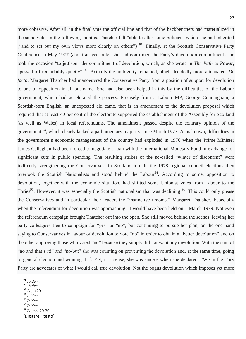more cohesive. After all, in the final vote the official line and that of the backbenchers had materialized in the same vote. In the following months, Thatcher felt "able to alter some policies" which she had inherited ("and to set out my own views more clearly on others")  $91$ . Finally, at the Scottish Conservative Party Conference in May 1977 (about an year after she had confirmed the Party's devolution commitment) she took the occasion "to jettison" the commitment of devolution, which, as she wrote in *The Path to Power*, "passed off remarkably quietly" <sup>92</sup>. Actually the ambiguity remained, albeit decidedly more attenuated. *De facto*, Margaret Thatcher had manoeuvred the Conservative Party from a position of support for devolution to one of opposition in all but name. She had also been helped in this by the difficulties of the Labour government, which had accelerated the process. Precisely from a Labour MP, George Cunningham, a Scottish-born English, an unexpected aid came, that is an amendment to the devolution proposal which required that at least 40 per cent of the electorate supported the establishment of the Assembly for Scotland (as well as Wales) in local referendums. The amendment passed despite the contrary opinion of the government <sup>93</sup>, which clearly lacked a parliamentary majority since March 1977. As is known, difficulties in the government's economic management of the country had exploded in 1976 when the Prime Minister James Callaghan had been forced to negotiate a loan with the International Monetary Fund in exchange for significant cuts in public spending. The resulting strikes of the so-called "winter of discontent" were indirectly strengthening the Conservatives, in Scotland too. In the 1978 regional council elections they overtook the Scottish Nationalists and stood behind the Labour<sup>94</sup>. According to some, opposition to devolution, together with the economic situation, had shifted some Unionist votes from Labour to the Tories<sup>95</sup>. However, it was especially the Scottish nationalism that was declining <sup>96</sup>. This could only please the Conservatives and in particular their leader, the "instinctive unionist" Margaret Thatcher. Especially when the referendum for devolution was approaching. It would have been held on 1 March 1979. Not even the referendum campaign brought Thatcher out into the open. She still moved behind the scenes, leaving her party colleagues free to campaign for "yes" or "no", but continuing to pursue her plan, on the one hand saying to Conservatives in favour of devolution to vote "no" in order to obtain a "better devolution" and on the other approving those who voted "no" because they simply did not want any devolution. With the sum of "no and that's it!" and "no-but" she was counting on preventing the devolution and, at the same time, going to general election and winning it  $\frac{97}{1}$ . Yet, in a sense, she was sincere when she declared: "We in the Tory Party are advocates of what I would call true devolution. Not the bogus devolution which imposes yet more

- <sup>94</sup> *Ibidem.*
- <sup>95</sup> *Ibidem*.
- <sup>96</sup> *Ibidem.*
- <sup>97</sup> *Ivi*, pp. 29-30

<sup>91</sup> *Ibidem*.

<sup>92</sup> *Ibidem*.

<sup>93</sup> *Ivi*, p.29

<sup>[</sup>Digitare il testo]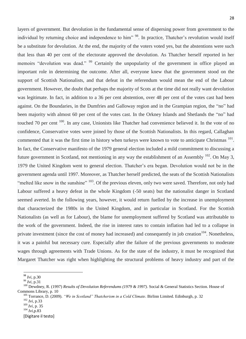layers of government. But devolution in the fundamental sense of dispersing power from government to the individual by returning choice and independence to him" <sup>98</sup>. In practice, Thatcher's revolution would itself be a substitute for devolution. At the end, the majority of the voters voted yes, but the abstentions were such that less than 40 per cent of the electorate approved the devolution. As Thatcher herself reported in her memoirs "devolution was dead." <sup>99</sup> Certainly the unpopularity of the government in office played an important role in determining the outcome. After all, everyone knew that the government stood on the support of Scottish Nationalists, and that defeat in the referendum would mean the end of the Labour government. However, the doubt that perhaps the majority of Scots at the time did not really want devolution was legitimate. In fact, in addition to a 36 per cent abstention, over 48 per cent of the votes cast had been against. On the Boundaries, in the Dumfries and Galloway region and in the Grampian region, the "no" had been majority with almost 60 per cent of the votes cast. In the Orkney Islands and Shetlands the "no" had touched 70 per cent <sup>100</sup>. In any case, Unionists like Thatcher had convenience believed it. In the vote of no confidence, Conservative votes were joined by those of the Scottish Nationalists. In this regard, Callaghan commented that it was the first time in history when turkeys were known to vote to anticipate Christmas <sup>101</sup>. In fact, the Conservative manifesto of the 1979 general election included a mild commitment to discussing a future government in Scotland, not mentioning in any way the establishment of an Assembly  $^{102}$ . On May 3, 1979 the United Kingdom went to general election. Thatcher's era began. Devolution would not be in the government agenda until 1997. Moreover, as Thatcher herself predicted, the seats of the Scottish Nationalists "melted like snow in the sunshine" <sup>103</sup>. Of the previous eleven, only two were saved. Therefore, not only had Labour suffered a heavy defeat in the whole Kingdom (-50 seats) but the nationalist danger in Scotland seemed averted. In the following years, however, it would return fuelled by the increase in unemployment that characterized the 1980s in the United Kingdom, and in particular in Scotland. For the Scottish Nationalists (as well as for Labour), the blame for unemployment suffered by Scotland was attributable to the work of the government. Indeed, the rise in interest rates to contain inflation had led to a collapse in private investment (since the cost of money had increased) and consequently in job creation<sup> $104$ </sup>. Nonetheless, it was a painful but necessary cure. Especially after the failure of the previous governments to moderate wages through agreements with Trade Unions. As for the state of the industry, it must be recognized that Margaret Thatcher was right when highlighting the structural problems of heavy industry and part of the

 $\overline{a}$ 

<sup>104</sup> *Ivi*,p.83

<sup>98</sup> *Ivi*, p.30

<sup>99</sup> *Ivi*, p.31

<sup>100</sup> Dewdney, R. (1997) *Results of Devolution Referendums (1979 & 1997)*. Social & General Statistics Section. House of Commons Library, p. 10

<sup>101</sup> Torrance, D. (2009). *"We in Scotland" Thatcherism in a Cold Climate*. Birlinn Limited. Edinburgh, p. 32

<sup>102</sup> *Ivi*, p.33

<sup>103</sup> *Ivi*, p. 35

<sup>[</sup>Digitare il testo]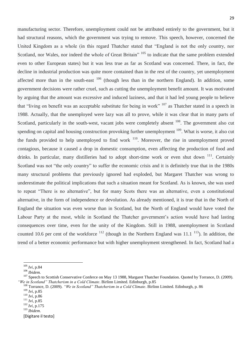manufacturing sector. Therefore, unemployment could not be attributed entirely to the government, but it had structural reasons, which the government was trying to remove. This speech, however, concerned the United Kingdom as a whole (in this regard Thatcher stated that "England is not the only country, nor Scotland, nor Wales, nor indeed the whole of Great Britain" <sup>105</sup> to indicate that the same problem extended even to other European states) but it was less true as far as Scotland was concerned. There, in fact, the decline in industrial production was quite more contained than in the rest of the country, yet unemployment affected more than in the south-east <sup>106</sup> (though less than in the northern England). In addition, some government decisions were rather cruel, such as cutting the unemployment benefit amount. It was motivated by arguing that the amount was excessive and induced laziness, and that it had led young people to believe that "living on benefit was an acceptable substitute for being in work" <sup>107</sup> as Thatcher stated in a speech in 1988. Actually, that the unemployed were lazy was all to prove, while it was clear that in many parts of Scotland, particularly in the south-west, vacant jobs were completely absent <sup>108</sup>. The government also cut spending on capital and housing construction provoking further unemployment  $109$ . What is worse, it also cut the funds provided to help unemployed to find work  $110$ . Moreover, the rise in unemployment proved contagious, because it caused a drop in domestic consumption, even affecting the production of food and drinks. In particular, many distilleries had to adopt short-time work or even shut down <sup>111</sup>. Certainly Scotland was not "the only country" to suffer the economic crisis and it is definitely true that in the 1980s many structural problems that previously ignored had exploded, but Margaret Thatcher was wrong to underestimate the political implications that such a situation meant for Scotland. As is known, she was used to repeat "There is no alternative", but for many Scots there was an alternative, even a constitutional alternative, in the form of independence or devolution. As already mentioned, it is true that in the North of England the situation was even worse than in Scotland, but the North of England would have voted the Labour Party at the most, while in Scotland the Thatcher government's action would have had lasting consequences over time, even for the unity of the Kingdom. Still in 1988, unemployment in Scotland counted 10.6 per cent of the workforce  $112$  (though in the Northern England was 11.1  $113$ ). In addition, the trend of a better economic performance but with higher unemployment strengthened. In fact, Scotland had a

<sup>105</sup> *Ivi*, p.84

<sup>106</sup> *Ibidem.*

<sup>&</sup>lt;sup>107</sup> Speech to Scottish Conservative Conferce on May 13 1988, Margaret Thatcher Foundation. Quoted by Torrance, D. (2009). *"We in Scotland" Thatcherism in a Cold Climate*. Birlinn Limited. Edinburgh, p.85

<sup>108</sup> Torrance, D. (2009). *"We in Scotland" Thatcherism in a Cold Climate*. Birlinn Limited. Edinburgh, p. 86

<sup>109</sup> *Ivi*, p.85

<sup>110</sup> *Ivi*, p.86

 $\frac{1}{111}$  *Ivi*, p.85

<sup>112</sup> *Ivi*, p.175

<sup>113</sup> *Ibidem*.

<sup>[</sup>Digitare il testo]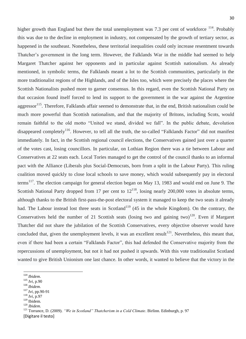higher growth than England but there the total unemployment was 7.3 per cent of workforce  $114$ . Probably this was due to the decline in employment in industry, not compensated by the growth of tertiary sector, as happened in the southeast. Nonetheless, these territorial inequalities could only increase resentment towards Thatcher's government in the long term. However, the Falklands War in the middle had seemed to help Margaret Thatcher against her opponents and in particular against Scottish nationalism. As already mentioned, in symbolic terms, the Falklands meant a lot to the Scottish communities, particularly in the more traditionalist regions of the Highlands, and of the Isles too, which were precisely the places where the Scottish Nationalists pushed more to garner consensus. In this regard, even the Scottish National Party on that occasion found itself forced to lend its support to the government in the war against the Argentine aggressor<sup>115</sup>. Therefore, Falklands affair seemed to demonstrate that, in the end, British nationalism could be much more powerful than Scottish nationalism, and that the majority of Britons, including Scots, would remain faithful to the old motto "United we stand, divided we fall". In the public debate, devolution disappeared completely<sup>116</sup>. However, to tell all the truth, the so-called "Falklands Factor" did not manifest immediately. In fact, in the Scottish regional council elections, the Conservatives gained just over a quarter of the votes cast, losing councillors. In particular, on Lothian Region there was a tie between Labour and Conservatives at 22 seats each. Local Tories managed to get the control of the council thanks to an informal pact with the Alliance (Liberals plus Social-Democrats, born from a split in the Labour Party). This ruling coalition moved quickly to close local schools to save money, which would subsequently pay in electoral terms<sup>117</sup>. The election campaign for general election began on May 13, 1983 and would end on June 9. The Scottish National Party dropped from 17 per cent to  $12^{118}$ , losing nearly 200,000 votes in absolute terms, although thanks to the British first-pass-the-post electoral system it managed to keep the two seats it already had. The Labour instead lost three seats in Scotland<sup>119</sup> (45 in the whole Kingdom). On the contrary, the Conservatives held the number of 21 Scottish seats (losing two and gaining two)<sup>120</sup>. Even if Margaret Thatcher did not share the jubilation of the Scottish Conservatives, every objective observer would have concluded that, given the unemployment levels, it was an excellent result<sup>121</sup>. Nevertheless, this meant that, even if there had been a certain "Falklands Factor", this had defended the Conservative majority from the repercussions of unemployment, but not it had not pushed it upwards. With this vote traditionalist Scotland wanted to give British Unionism one last chance. In other words, it wanted to believe that the victory in the

<sup>115</sup> *Ivi*, p.90

 $\overline{\phantom{a}}$ <sup>114</sup> *Ibidem*.

<sup>116</sup> *Ibidem*.

<sup>117</sup> *Ivi*, pp.90-91

<sup>118</sup> *Ivi*, p.97  $119$  Ibidem.

<sup>120</sup> *Ibidem*.

<sup>[</sup>Digitare il testo] <sup>121</sup> Torrance, D. (2009). *"We in Scotland" Thatcherism in a Cold Climate*. Birlinn. Edinburgh, p. 97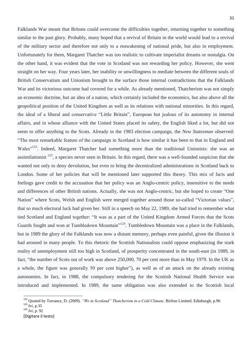Falklands War meant that Britons could overcome the difficulties together, returning together to something similar to the past glory. Probably, many hoped that a revival of Britain in the world would lead to a revival of the military sector and therefore not only to a reawakening of national pride, but also in employment. Unfortunately for them, Margaret Thatcher was too realistic to cultivate imperialist dreams or nostalgia. On the other hand, it was evident that the vote in Scotland was not rewarding her policy. However, she went straight on her way. Four years later, her inability or unwillingness to mediate between the different souls of British Conservatism and Unionism brought to the surface those internal contradictions that the Falklands War and its victorious outcome had covered for a while. As already mentioned, Thatcherism was not simply an economic doctrine, but an idea of a nation, which certainly included the economics, but also above all the geopolitical position of the United Kingdom as well as its relations with national minorities. In this regard, the ideal of a liberal and conservative "Little Britain", European but jealous of its autonomy in internal affairs, and in whose alliance with the United States placed its safety, the English liked a lot, but did not seem to offer anything to the Scots. Already in the 1983 election campaign, the *New Statesman* observed: "The most remarkable feature of the campaign in Scotland is how similar it has been to that in England and Wales"<sup>122</sup>. Indeed, Margaret Thatcher had something more than the traditional Unionists: she was an assimilationist  $123$ , a species never seen in Britain. In this regard, there was a well-founded suspicion that she wanted not only to deny devolution, but even to bring the decentralized administrations in Scotland back to London. Some of her policies that will be mentioned later supported this theory. This mix of facts and feelings gave credit to the accusation that her policy was an Anglo-centric policy, insensitive to the needs and differences of other British nations. Actually, she was not Anglo-centric, but she hoped to create "One Nation" where Scots, Welsh and English were merged together around those so-called "Victorian values", that so much electoral luck had given her. Still in a speech on May 22, 1989, she had tried to remember what tied Scotland and England together: "It was as a part of the United Kingdom Armed Forces that the Scots Guards fought and won at Tumbledown Mountain"<sup>124</sup>. Tumbledown Mountain was a place in the Falklands, but in 1989 the glory of the Falklands was now a distant memory, perhaps even painful, given the illusion it had aroused in many people. To this rhetoric the Scottish Nationalists could oppose emphasizing the stark reality of unemployment still too high in Scotland, of prosperity concentrated in the south-east (in 1989, in fact, "the number of Scots out of work was above 250,000, 70 per cent more than in May 1979. In the UK as a whole, the figure was generally 50 per cent higher"), as well as of an attack on the already existing autonomies. In fact, in 1988, the compulsory tendering for the Scottish National Health Service was introduced and implemented. In 1989, the same obligation was also extended to the Scottish local

 $\overline{\phantom{a}}$ 

<sup>124</sup> *Ivi*, p. 92

<sup>122</sup> Quoted by Torrance, D. (2009). *"We in Scotland" Thatcherism in a Cold Climate*. Birlinn Limited. Edinburgh, p.96

<sup>123</sup> *Ivi*, p.35

<sup>[</sup>Digitare il testo]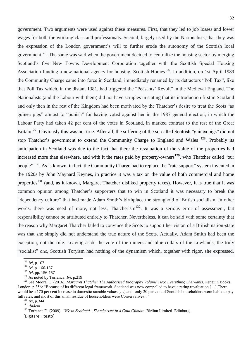government. Two arguments were used against these measures. First, that they led to job losses and lower wages for both the working class and professionals. Second, largely used by the Nationalists, that they was the expression of the London government's will to further erode the autonomy of the Scottish local government<sup>125</sup>. The same was said when the government decided to centralize the housing sector by merging Scotland's five New Towns Development Corporation together with the Scottish Special Housing Association funding a new national agency for housing, Scottish Homes<sup>126</sup>. In addition, on 1st April 1989 the Community Charge came into force in Scotland, immediately renamed by its detractors "Poll Tax", like that Poll Tax which, in the distant 1381, had triggered the "Peasants' Revolt" in the Medieval England. The Nationalists (and the Labour with them) did not have scruples in stating that its introduction first in Scotland and only then in the rest of the Kingdom had been motivated by the Thatcher's desire to treat the Scots "as guinea pigs" almost to "punish" for having voted against her in the 1987 general election, in which the Labour Party had taken 42 per cent of the votes in Scotland, in marked contrast to the rest of the Great Britain<sup>127</sup>. Obviously this was not true. After all, the suffering of the so-called Scottish "guinea pigs" did not stop Thatcher's government to extend the Community Charge to England and Wales <sup>128</sup>. Probably its anticipation in Scotland was due to the fact that there the revaluation of the value of the properties had increased more than elsewhere, and with it the rates paid by property-owners<sup>129</sup>, who Thatcher called "our people" <sup>130</sup>. As is known, in fact, the Community Charge had to replace the "rate support" system invented in the 1920s by John Maynard Keynes, in practice it was a tax on the value of both commercial and home properties<sup>131</sup> (and, as it known, Margaret Thatcher disliked property taxes). However, it is true that it was common opinion among Thatcher's supporters that to win in Scotland it was necessary to break the "dependency culture" that had made Adam Smith's birthplace the stronghold of British socialism. In other words, there was need of more, not less, Thatcherism<sup>132</sup>. It was a serious error of assessment, but responsibility cannot be attributed entirely to Thatcher. Nevertheless, it can be said with some certainty that the reason why Margaret Thatcher failed to convince the Scots to support her vision of a British nation-state was that she simply did not understand the true nature of the Scots. Actually, Adam Smith had been the exception, not the rule. Leaving aside the vote of the miners and blue-collars of the Lowlands, the truly "socialist" one, Scottish Toryism had nothing of the dynamism which, together with rigor, she expressed.

 $\overline{a}$ 

[Digitare il testo] <sup>132</sup> Torrance D. (2009). *"We in Scotland" Thatcherism in a Cold Climate*. Birlinn Limited. Edinburg.

<sup>125</sup> *Ivi*, p.167

<sup>126</sup> *Ivi*, p. 166-167

<sup>127</sup> *Ivi*, pp. 156-157

<sup>128</sup> As noted by Torrance: *Ivi*, p.219

<sup>&</sup>lt;sup>129</sup> See Moore, C. (2016). *Margaret Thatcher The Authorised Biography Volume Two: Everything She wants*. Penguin Books. London, p.356: "Because of its different legal framework, Scotland was now compelled to have a rating revaluation […] There would be a 170 per cent increase in domestic rateable values […] and 'only 20 per cent of Scottish householders were liable to pay full rates, and most of this small residue of householders were Conservatives'."

<sup>130</sup> *Ivi*, p.344

<sup>131</sup> *Ibidem*.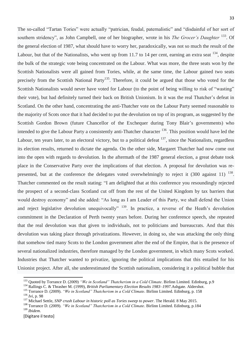The so-called "Tartan Tories" were actually "patrician, feudal, paternalistic" and "disdainful of her sort of southern stridency", as John Campbell, one of her biographer, wrote in his *The Grocer's Daughter* <sup>133</sup>. Of the general election of 1987, what should have to worry her, paradoxically, was not so much the result of the Labour, but that of the Nationalists, who went up from 11.7 to 14 per cent, earning an extra seat  $^{134}$ , despite the bulk of the strategic vote being concentrated on the Labour. What was more, the three seats won by the Scottish Nationalists were all gained from Tories, while, at the same time, the Labour gained two seats precisely from the Scottish National Party<sup>135</sup>. Therefore, it could be argued that those who voted for the Scottish Nationalists would never have voted for Labour (to the point of being willing to risk of "wasting" their vote), but had definitely turned their back on British Unionism. In it was the real Thatcher's defeat in Scotland. On the other hand, concentrating the anti-Thatcher vote on the Labour Party seemed reasonable to the majority of Scots once that it had decided to put the devolution on top of its program, as suggested by the Scottish Gordon Brown (future Chancellor of the Exchequer during Tony Blair's governments) who intended to give the Labour Party a consistently anti-Thatcher character <sup>136</sup>. This position would have led the Labour, ten years later, to an electoral victory, but to a political defeat  $137$ , since the Nationalists, regardless its election results, returned to dictate the agenda. On the other side, Margaret Thatcher had now come out into the open with regards to devolution. In the aftermath of the 1987 general election, a great debate took place in the Conservative Party over the implications of that election. A proposal for devolution was represented, but at the conference the delegates voted overwhelmingly to reject it  $(300 \text{ against } 11)^{-138}$ . Thatcher commented on the result stating: "I am delighted that at this conference you resoundingly rejected the prospect of a second-class Scotland cut off from the rest of the United Kingdom by tax barriers that would destroy economy" and she added: "As long as I am Leader of this Party, we shall defend the Union and reject legislative devolution unequivocally" <sup>139</sup>. In practice, a reverse of the Heath's devolution commitment in the Declaration of Perth twenty years before. During her conference speech, she repeated that the real devolution was that given to individuals, not to politicians and bureaucrats. And that this devolution was taking place through privatizations. However, in doing so, she was attacking the only thing that somehow tied many Scots to the London government after the end of the Empire, that is the presence of several nationalized industries, therefore managed by the London government, in which many Scots worked. Industries that Thatcher wanted to privatize, ignoring the political implications that this entailed for his Unionist project. After all, she underestimated the Scottish nationalism, considering it a political bubble that

<sup>133</sup> Quoted by Torrance D. (2009) *"We in Scotland" Thatcherism in a Cold Climate*. Birlinn Limited. Edinburg, p.9

<sup>134</sup> Rallings C. & Thrasher M. (1999), *British Parliamentary Election Results 1983–1997*.Ashgate. Aldershot. <sup>135</sup> Torrance D. (2009). *"We in Scotland" Thatcherism in a Cold Climate*. Birlinn Limited. Edinburg, p. 158

<sup>136</sup> *Ivi*, p. 98

<sup>&</sup>lt;sup>137</sup> Michael Settle, *SNP crush Labour in historic poll as Tories sweep to power*. The Herald. 8 May 2015.

<sup>138</sup> Torrance D. (2009). *"We in Scotland" Thatcherism in a Cold Climate*. Birlinn Limited. Edinburg, p.184

<sup>139</sup> *Ibidem*.

<sup>[</sup>Digitare il testo]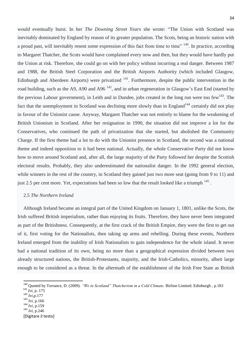would eventually burst. In her *The Downing Street Years* she wrote: "The Union with Scotland was inevitably dominated by England by reason of its greater population. The Scots, being an historic nation with a proud past, will inevitably resent some expression of this fact from time to time" <sup>140</sup>. In practice, according to Margaret Thatcher, the Scots would have complained every now and then, but they would have hardly put the Union at risk. Therefore, she could go on with her policy without incurring a real danger. Between 1987 and 1988, the British Steel Corporation and the British Airports Authority (which included Glasgow, Edinburgh and Aberdeen Airports) were privatized <sup>141</sup>. Furthermore, despite the public intervention in the road building, such as the A9, A90 and A96<sup>142</sup>, and in urban regeneration in Glasgow's East End (started by the previous Labour government), in Leith and in Dundee, jobs created in the long run were too few<sup>143</sup>. The fact that the unemployment in Scotland was declining more slowly than in England<sup>144</sup> certainly did not play in favour of the Unionist cause. Anyway, Margaret Thatcher was not entirely to blame for the weakening of British Unionism in Scotland. After her resignation in 1990, the situation did not improve a lot for the Conservatives, who continued the path of privatization that she started, but abolished the Community Charge. If the first theme had a lot to do with the Unionist presence in Scotland, the second was a national theme and indeed opposition to it had been national. Actually, the whole Conservative Party did not know how to move around Scotland and, after all, the large majority of the Party followed her despite the Scottish electoral results. Probably, they also underestimated the nationalist danger. In the 1992 general election, while winners in the rest of the country, in Scotland they gained just two more seat (going from 9 to 11) and just 2.5 per cent more. Yet, expectations had been so low that the result looked like a triumph  $^{145}$ .

# 2.5 *The Northern Ireland*

Although Ireland became an integral part of the United Kingdom on January 1, 1801, unlike the Scots, the Irish suffered British imperialism, rather than enjoying its fruits. Therefore, they have never been integrated as part of the Britishness. Consequently, at the first crack of the British Empire, they were the first to get out of it, first voting for the Nationalists, then taking up arms and rebelling. During these events, Northern Ireland emerged from the inability of Irish Nationalists to gain independence for the whole island. It never had a national tradition of its own, being no more than a geographical expression divided between two already structured nations, the British-Protestants, majority, and the Irish-Catholics, minority, albeit large enough to be considered as a threat. In the aftermath of the establishment of the Irish Free State as British

<sup>140</sup> Quoted by Torrance, D. (2009). *"We in Scotland" Thatcherism in a Cold Climate*. Birlinn Limited. Edinburgh , p.183

<sup>141</sup> *Ivi*, p. 175

<sup>142</sup> *Ivi*,p.177

<sup>143</sup> *Ivi*, p.166

<sup>144</sup> *Ivi*, p.159

<sup>145</sup> *Ivi,* p.246

<sup>[</sup>Digitare il testo]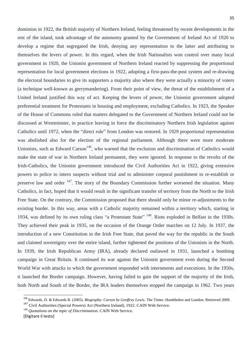dominion in 1922, the British majority of Northern Ireland, feeling threatened by recent developments in the rest of the island, took advantage of the autonomy granted by the Government of Ireland Act of 1920 to develop a regime that segregated the Irish, denying any representation to the latter and attributing to themselves the levers of power. In this regard, when the Irish Nationalists won control over many local government in 1920, the Unionist government of Northern Ireland reacted by suppressing the proportional representation for local government elections in 1922, adopting a first-pass-the-post system and re-drawing the electoral boundaries to give its supporters a majority also where they were actually a minority of voters (a technique well-known as gerrymandering). From their point of view, the threat of the establishment of a United Ireland justified this way of act. Keeping the levers of power, the Unionist government adopted preferential treatment for Protestants in housing and employment, excluding Catholics. In 1923, the Speaker of the House of Commons ruled that matters delegated to the Government of Northern Ireland could not be discussed at Westminster, in practice leaving in force the discriminatory Northern Irish legislation against Catholics until 1972, when the "direct rule" from London was restored. In 1929 proportional representation was abolished also for the election of the regional parliament. Although there were more moderate Unionists, such as Edward Carson<sup>146</sup>, who warned that the exclusion and discrimination of Catholics would make the state of war in Northern Ireland permanent, they were ignored. In response to the revolts of the Irish-Catholics, the Unionist government introduced the Civil Authorities Act in 1922, giving extensive powers to police to intern suspects without trial and to administer corporal punishment to re-establish or preserve law and order <sup>147</sup>. The story of the Boundary Commission further worsened the situation. Many Catholics, in fact, hoped that it would result in the significant transfer of territory from the North to the Irish Free State. On the contrary, the Commission proposed that there should only be minor re-adjustments to the existing border. In this way, areas with a Catholic majority remained within a territory which, starting in 1934, was defined by its own ruling class "a Protestant State"<sup>148</sup>. Riots exploded in Belfast in the 1930s. They achieved their peak in 1935, on the occasion of the Orange Order marches on 12 July. In 1937, the introduction of a new Constitution in the Irish Free State, that paved the way for the republic in the South and claimed sovereignty over the entire island, further tightened the positions of the Unionists in the North. In 1939, the Irish Republican Army (IRA), already declared outlawed in 1931, launched a bombing campaign in Great Britain. It continued its war against the Unionist government even during the Second World War with attacks to which the government responded with internments and executions. In the 1950s, it launched the Border campaign. However, having failed to gain the support of the majority of the Irish, both North and South of the Border, the IRA leaders themselves stopped the campaign in 1962. Two years

 $\overline{\phantom{a}}$ 

<sup>146</sup> Edwards, D. & Edwards R. (2005). *Biography: Carson by Geoffrey Lewis*. The Times. Hambledon and London. Retrieved 2009.

<sup>147</sup> Civil Authorities (Special Powers) Act (Northern Ireland), 1922. CAIN Web Service.

<sup>148</sup> *Quotations on the topic of Discrimination*. CAIN Web Service.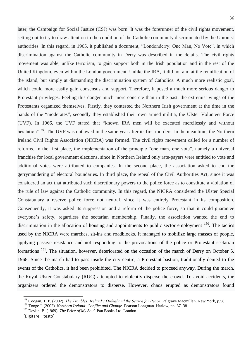later, the Campaign for Social Justice (CSJ) was born. It was the forerunner of the civil rights movement, setting out to try to draw attention to the condition of the Catholic community discriminated by the Unionist authorities. In this regard, in 1965, it published a document, "Londonderry: One Man, No Vote", in which discrimination against the Catholic community in Derry was described in the details. The civil rights movement was able, unlike terrorism, to gain support both in the Irish population and in the rest of the United Kingdom, even within the London government. Unlike the IRA, it did not aim at the reunification of the island, but simply at dismantling the discrimination system of Catholics. A much more realistic goal, which could more easily gain consensus and support. Therefore, it posed a much more serious danger to Protestant privileges. Feeling this danger much more concrete than in the past, the extremist wings of the Protestants organized themselves. Firstly, they contested the Northern Irish government at the time in the hands of the "moderates", secondly they established their own armed militia, the Ulster Volunteer Force (UVF). In 1966, the UVF stated that "known IRA men will be executed mercilessly and without hesitation"<sup>149</sup>. The UVF was outlawed in the same year after its first murders. In the meantime, the Northern Ireland Civil Rights Association (NICRA) was formed. The civil rights movement called for a number of reforms. In the first place, the implementation of the principle "one man, one vote", namely a universal franchise for local government elections, since in Northern Ireland only rate-payers were entitled to vote and additional votes were attributed to companies. In the second place, the association asked to end the gerrymandering of electoral boundaries. In third place, the repeal of the Civil Authorities Act, since it was considered an act that attributed such discretionary powers to the police force as to constitute a violation of the rule of law against the Catholic community. In this regard, the NICRA considered the Ulster Special Constabulary a reserve police force not neutral, since it was entirely Protestant in its composition. Consequently, it was asked its suppression and a reform of the police force, so that it could guarantee everyone's safety, regardless the sectarian membership. Finally, the association wanted the end to discrimination in the allocation of housing and appointments to public sector employment <sup>150</sup>. The tactics used by the NICRA were marches, sit-ins and roadblocks. It managed to mobilize large masses of people, applying passive resistance and not responding to the provocations of the police or Protestant sectarian formations <sup>151</sup>. The situation, however, deteriorated on the occasion of the march of Derry on October 5, 1968. Since the march had to pass inside the city centre, a Protestant bastion, traditionally denied to the events of the Catholics, it had been prohibited. The NICRA decided to proceed anyway. During the march, the Royal Ulster Constabulary (RUC) attempted to violently disperse the crowd. To avoid accidents, the organizers ordered the demonstrators to disperse. However, chaos erupted as demonstrators found

 $\overline{\phantom{a}}$ 

<sup>149</sup> Coogan, T. P. (2002). *The Troubles: Ireland's Ordeal and the Search for Peace*. Palgrave Macmillan. New York, p.58

<sup>150</sup> Tonge J. (2002). *Northern Ireland: Conflict and Change*. Pearson Longman. Harlow, pp. 37–38

<sup>[</sup>Digitare il testo] <sup>151</sup> Devlin, B. (1969). *The Price of My Soul*. Pan Books Ltd. London.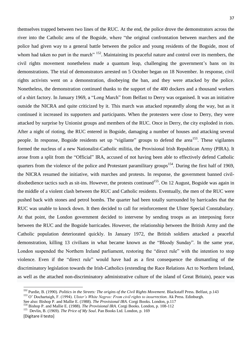themselves trapped between two lines of the RUC. At the end, the police drove the demonstrators across the river into the Catholic area of the Bogside, where "the original confrontation between marchers and the police had given way to a general battle between the police and young residents of the Bogside, most of whom had taken no part in the march" <sup>152</sup>. Maintaining its peaceful nature and control over its members, the civil rights movement nonetheless made a quantum leap, challenging the government's bans on its demonstrations. The trial of demonstrators arrested on 5 October began on 18 November. In response, civil rights activists went on a demonstration, disobeying the ban, and they were attacked by the police. Nonetheless, the demonstration continued thanks to the support of the 400 dockers and a thousand workers of a shirt factory. In January 1969, a "Long March" from Belfast to Derry was organised. It was an initiative outside the NICRA and quite criticized by it. This march was attacked repeatedly along the way, but as it continued it increased its supporters and participants. When the protesters were close to Derry, they were attacked by surprise by Unionist groups and members of the RUC. Once in Derry, the city exploded in riots. After a night of rioting, the RUC entered in Bogside, damaging a number of houses and attacking several people. In response, Bogside residents set up "vigilante" groups to defend the area<sup>153</sup>. These vigilantes formed the nucleus of a new Nationalist-Catholic militia, the Provisional Irish Republican Army (PIRA). It arose from a split from the "Official" IRA, accused of not having been able to effectively defend Catholic quarters from the violence of the police and Protestant paramilitary groups<sup>154</sup>. During the first half of 1969, the NICRA resumed the initiative, with marches and protests. In response, the government banned civildisobedience tactics such as sit-ins. However, the protests continued<sup>155</sup>. On 12 August, Bogside was again in the middle of a violent clash between the RUC and Catholic residents. Eventually, the men of the RUC were pushed back with stones and petrol bombs. The quarter had been totally surrounded by barricades that the RUC was unable to knock down. It then decided to call for reinforcement the Ulster Special Constabulary. At that point, the London government decided to intervene by sending troops as an interposing force between the RUC and the Bogside barricades. However, the relationship between the British Army and the Catholic population deteriorated quickly. In January 1972, the British soldiers attacked a peaceful demonstration, killing 13 civilians in what became known as the "Bloody Sunday". In the same year, London suspended the Northern Ireland parliament, restoring the "direct rule" with the intention to stop violence. Even if the "direct rule" would have had as a first consequence the dismantling of the discriminatory legislation towards the Irish-Catholics (extending the Race Relations Act to Northern Ireland, as well as the attached non-discriminatory administrative culture of the island of Great Britain), peace was

<sup>&</sup>lt;sup>152</sup> Purdie, B. (1990). *Politics in the Streets: The origins of the Civil Rights Movement*. Blackstaff Press. Belfast, p.143 <sup>153</sup> O' Dochartaigh, F. (1994). *Ulster's White Negros: From civil rights to insurrection*. Ak Press. Edinburgh.

See also: Bishop P. and Mallie E. (1988). *The Provisional IRA*. Corgi Books. London, p.117

<sup>154</sup> Bishop P. and Mallie E. (1988). *The Provisional IRA*. Corgi Books. London, p. 108-112

<sup>[</sup>Digitare il testo] <sup>155</sup> Devlin, B. (1969). *The Price of My Soul*. Pan Books Ltd. London, p. 169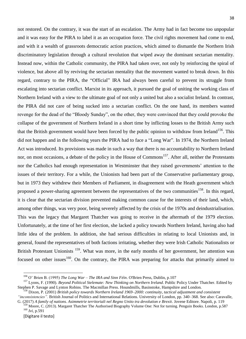not restored. On the contrary, it was the start of an escalation. The Army had in fact become too unpopular and it was easy for the PIRA to label it as an occupation force. The civil rights movement had come to end, and with it a wealth of grassroots democratic action practices, which aimed to dismantle the Northern Irish discriminatory legislation through a cultural revolution that wiped away the dominant sectarian mentality. Instead now, within the Catholic community, the PIRA had taken over, not only by reinforcing the spiral of violence, but above all by reviving the sectarian mentality that the movement wanted to break down. In this regard, contrary to the PIRA, the "Official" IRA had always been careful to prevent its struggle from escalating into sectarian conflict. Marxist in its approach, it pursued the goal of uniting the working class of Northern Ireland with a view to the ultimate goal of not only a united but also a socialist Ireland. In contrast, the PIRA did not care of being sucked into a sectarian conflict. On the one hand, its members wanted revenge for the dead of the "Bloody Sunday", on the other, they were convinced that they could provoke the collapse of the government of Northern Ireland in a short time by inflicting losses to the British Army such that the British government would have been forced by the public opinion to withdraw from Ireland<sup>156</sup>. This did not happen and in the following years the PIRA had to face a "Long War". In 1974, the Northern Ireland Act was introduced. Its provisions was made in such a way that there is no accountability to Northern Ireland nor, on most occasions, a debate of the policy in the House of Commons<sup>157</sup>. After all, neither the Protestants nor the Catholics had enough representation in Westminster that they raised governments' attention to the issues of their territory. For a while, the Unionists had been part of the Conservative parliamentary group, but in 1973 they withdrew their Members of Parliament, in disagreement with the Heath government which proposed a power-sharing agreement between the representatives of the two communities<sup>158</sup>. In this regard, it is clear that the sectarian division prevented making common cause for the interests of their land, which, among other things, was very poor, being severely affected by the crisis of the 1970s and deindustrialisation. This was the legacy that Margaret Thatcher was going to receive in the aftermath of the 1979 election. Unfortunately, at the time of her first election, she lacked a policy towards Northern Ireland, having also had little idea of the problem. In addition, she had serious difficulties in relating to local Unionists and, in general, found the representatives of both factions irritating, whether they were Irish Catholic Nationalists or British Protestant Unionists <sup>159</sup>. What was more, in the early months of her government, her attention was focused on other issues<sup>160</sup>. On the contrary, the PIRA was preparing for attacks that primarily aimed to

<sup>156</sup> O' Brien B. (1995) *The Long War – The IRA and Sinn Féin*. O'Brien Press, Dublin, p.107

<sup>157</sup> Lyons, F. (1990). *Beyond Political Stelemate: New Thinking on Northern Ireland*. Public Policy Under Thatcher. Edited by Stephen P. Savage and Lynton Robins. The Macmillan Press. Houndmills, Basinstoke, Hampshire and London.

<sup>158</sup> Dixon, P. (2001) *British policy towards Northern Ireland 1969–2000: continuity, tactical adjustment and consistent "inconsistencies".* British Journal of Politics and International Relations. University of London, pp. 340–368. See also: Caravalle, G. (2017) *A family of nations. Asimmetrie territoriali nel Regno Unito tra devolution e Brexit*. Jovene Editore. Napoli, p. 119

<sup>159</sup> Moore, C. (2013). Margaret Thatcher The Authorised Biography Volume One: Not for turning. Penguin Books. London, p.587 <sup>160</sup> *Ivi*, p.591

<sup>[</sup>Digitare il testo]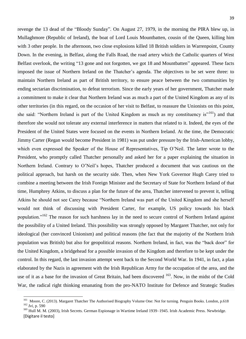revenge the 13 dead of the "Bloody Sunday". On August 27, 1979, in the morning the PIRA blew up, in Mullaghmore (Republic of Ireland), the boat of Lord Louis Mountbatten, cousin of the Queen, killing him with 3 other people. In the afternoon, two close explosions killed 18 British soldiers in Warrenpoint, County Down. In the evening, in Belfast, along the Falls Road, the road artery which the Catholic quarters of West Belfast overlook, the writing "13 gone and not forgotten, we got 18 and Mountbatten" appeared. These facts imposed the issue of Northern Ireland on the Thatcher's agenda. The objectives to be set were three: to maintain Northern Ireland as part of British territory, to ensure peace between the two communities by ending sectarian discrimination, to defeat terrorism. Since the early years of her government, Thatcher made a commitment to make it clear that Northern Ireland was as much a part of the United Kingdom as any of its other territories (in this regard, on the occasion of her visit to Belfast, to reassure the Unionists on this point, she said: "Northern Ireland is part of the United Kingdom as much as my constituency is"<sup>161</sup>) and that therefore she would not tolerate any external interference in matters that related to it. Indeed, the eyes of the President of the United States were focused on the events in Northern Ireland. At the time, the Democratic Jimmy Carter (Regan would become President in 1981) was put under pressure by the Irish-American lobby, which even expressed the Speaker of the House of Representatives, Tip O'Neil. The latter wrote to the President, who promptly called Thatcher personally and asked her for a paper explaining the situation in Northern Ireland. Contrary to O'Neil's hopes, Thatcher produced a document that was cautious on the political approach, but harsh on the security side. Then, when New York Governor Hugh Carey tried to combine a meeting between the Irish Foreign Minister and the Secretary of State for Northern Ireland of that time, Humphrey Atkins, to discuss a plan for the future of the area, Thatcher intervened to prevent it, telling Atkins he should not see Carey because "Northern Ireland was part of the United Kingdom and she herself would not think of discussing with President Carter, for example, US policy towards his black population."<sup>162</sup> The reason for such harshness lay in the need to secure control of Northern Ireland against the possibility of a United Ireland. This possibility was strongly opposed by Margaret Thatcher, not only for ideological (her convinced Unionism) and political reasons (the fact that the majority of the Northern Irish population was British) but also for geopolitical reasons. Northern Ireland, in fact, was the "back door" for the United Kingdom, a bridgehead for a possible invasion of the Kingdom and therefore to be kept under the control. In this regard, the last invasion attempt went back to the Second World War. In 1941, in fact, a plan elaborated by the Nazis in agreement with the Irish Republican Army for the occupation of the area, and the use of it as a base for the invasion of Great Britain, had been discovered <sup>163</sup>. Now, in the midst of the Cold War, the radical right thinking emanating from the pro-NATO Institute for Defence and Strategic Studies

 161 Moore, C. (2013). Margaret Thatcher The Authorised Biography Volume One: Not for turning. Penguin Books. London, p.618 <sup>162</sup> *Ivi*, p. 590

<sup>[</sup>Digitare il testo] <sup>163</sup> Hull M. M. (2003), Irish Secrets. German Espionage in Wartime Ireland 1939–1945. Irish Academic Press. Newbridge.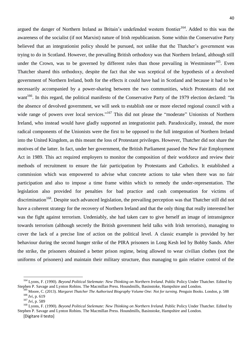argued the danger of Northern Ireland as Britain's undefended western frontier<sup>164</sup>. Added to this was the awareness of the socialist (if not Marxist) nature of Irish republicanism. Some within the Conservative Party believed that an integrationist policy should be pursued, not unlike that the Thatcher's government was trying to do in Scotland. However, the prevailing British orthodoxy was that Northern Ireland, although still under the Crown, was to be governed by different rules than those prevailing in Westminster<sup>165</sup>. Even Thatcher shared this orthodoxy, despite the fact that she was sceptical of the hypothesis of a devolved government of Northern Ireland, both for the effects it could have had in Scotland and because it had to be necessarily accompanied by a power-sharing between the two communities, which Protestants did not want<sup>166</sup>. In this regard, the political manifesto of the Conservative Party of the 1979 election declared: "In the absence of devolved government, we will seek to establish one or more elected regional council with a wide range of powers over local services."<sup>167</sup> This did not please the "moderate" Unionists of Northern Ireland, who instead would have gladly supported an integrationist path. Paradoxically, instead, the more radical components of the Unionists were the first to be opposed to the full integration of Northern Ireland into the United Kingdom, as this meant the loss of Protestant privileges. However, Thatcher did not share the motives of the latter. In fact, under her government, the British Parliament passed the New Fair Employment Act in 1989. This act required employers to monitor the composition of their workforce and review their methods of recruitment to ensure the fair participation by Protestants and Catholics. It established a commission which was empowered to advise what concrete actions to take when there was no fair participation and also to impose a time frame within which to remedy the under-representation. The legislation also provided for penalties for bad practice and cash compensation for victims of discrimination<sup>168</sup>. Despite such advanced legislation, the prevailing perception was that Thatcher still did not have a coherent strategy for the recovery of Northern Ireland and that the only thing that really interested her was the fight against terrorism. Undeniably, she had taken care to give herself an image of intransigence towards terrorism (although secretly the British government held talks with Irish terrorists), managing to cover the lack of a precise line of action on the political level. A classic example is provided by her behaviour during the second hunger strike of the PIRA prisoners in Long Kesh led by Bobby Sands. After the strike, the prisoners obtained a better prison regime, being allowed to wear civilian clothes (not the uniforms of prisoners) and maintain their military structure, thus managing to gain relative control of the

<sup>164</sup> Lyons, F. (1990). *Beyond Political Stelemate: New Thinking on Northern Ireland*. Public Policy Under Thatcher. Edited by Stephen P. Savage and Lynton Robins. The Macmillan Press. Houndmills, Basinstoke, Hampshire and London.

<sup>165</sup> Moore, C. (2013). *Margaret Thatcher The Authorised Biography Volume One: Not for turning*. Penguin Books. London, p. 588 <sup>166</sup> *Ivi*, p. 619

<sup>167</sup> *Ivi*, p. 589

<sup>168</sup> Lyons, F. (1990). *Beyond Political Stelemate: New Thinking on Northern Ireland*. Public Policy Under Thatcher. Edited by Stephen P. Savage and Lynton Robins. The Macmillan Press. Houndmills, Basinstoke, Hampshire and London.

<sup>[</sup>Digitare il testo]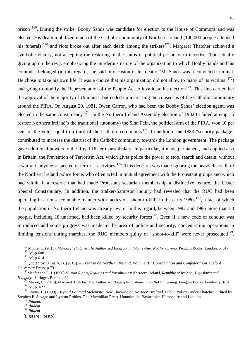prison <sup>169</sup>. During the strike, Booby Sands was candidate for election to the House of Commons and was elected. His death mobilized much of the Catholic community of Northern Ireland (100,000 people attended his funeral)  $170$  and riots broke out after each death among the strikers  $171$ . Margaret Thatcher achieved a symbolic victory, not accepting the restoring of the status of political prisoners to terrorists (but actually giving up on the rest), emphasizing the murderous nature of the organization to which Bobby Sands and his comrades belonged (in this regard, she said in occasion of his death: "Mr Sands was a convicted criminal. He chose to take his own life. It was a choice that his organization did not allow to many of its victims"<sup>172</sup>) and going to modify the Representation of the People Act to invalidate his election<sup>173</sup>. This line earned her the approval of the majority of Unionists, but ended up increasing the consensus of the Catholic community around the PIRA. On August 20, 1981, Owen Carron, who had been the Bobby Sands' election agent, was elected in the same constituency <sup>174</sup>. In the Northern Ireland Assembly election of 1982 (a failed attempt to restore Northern Ireland's the traditional autonomy) the Sinn Fein, the political arm of the PIRA, won 10 per cent of the vote, equal to a third of the Catholic community<sup>175</sup>. In addition, the 1988 "security package" contributed to increase the distrust of the Catholic community towards the London government. The package gave additional powers to the Royal Ulster Constabulary. In particular, it made permanent, and applied also in Britain, the Prevention of Terrorism Act, which gives police the power to stop, search and detain, without a warrant, anyone suspected of terrorist activities <sup>176</sup>. This decision was made ignoring the heavy discredit of the Northern Ireland police force, who often acted in mutual agreement with the Protestant groups and which had within it a reserve that had made Protestant sectarian membership a distinctive feature, the Ulster Special Constabulary. In addition, the Stalker-Sampson inquiry had revealed that the RUC had been operating in a non-accountable manner with tactics of "shoot-to-kill" in the early  $1980s^{177}$ , a fact of which the population in Northern Ireland was already aware. In this regard, between 1982 and 1986 more than 30 people, including 18 unarmed, had been killed by security forces<sup>178</sup>. Even if a new code of conduct was introduced and some progress was made in the area of police and security, concentrating operations in limiting tensions during marches, the RUC members guilty of "shoot-to-kill" were never prosecuted $179$ .

<sup>169</sup> Moore, C. (2013). *Margaret Thatcher The Authorised Biography Volume One: Not for turning*. Penguin Books. London, p. 617 <sup>170</sup> *Ivi*, p.608

<sup>171</sup> *Ivi*, p.614

<sup>172</sup>Quoted by O'Leary, B. (2019). *A Treatise on Northern Ireland, Volume III: Consociation and Confederation*. Oxford University Press, p.73

<sup>173</sup>Macfarlane L. J. (1990) *Human Rights, Realities and Possibilities: Northern Ireland, Republic of Ireland, Yugoslavia and Hungary*. Springer. Berlin. p.62

<sup>&</sup>lt;sup>174</sup> Moore, C. (2013). Margaret Thatcher The Authorised Biography Volume One: Not for turning. Penguin Books. London, p. 614 <sup>175</sup> *Ivi*, p. 622

<sup>176</sup> Lyons, F. (1990). *Beyond Political Stelemate: New Thinking on Northern Ireland*. Public Policy Under Thatcher. Edited by Stephen P. Savage and Lynton Robins. The Macmillan Press. Houndmills, Basinstoke, Hampshire and London.

<sup>177</sup> *Ibidem*.

<sup>178</sup> *Ibidem*.

<sup>179</sup> *Ibidem*.

<sup>[</sup>Digitare il testo]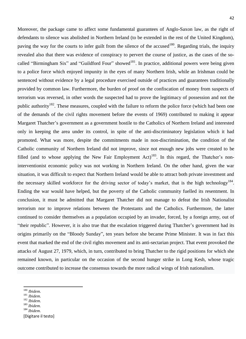Moreover, the package came to affect some fundamental guarantees of Anglo-Saxon law, as the right of defendants to silence was abolished in Northern Ireland (to be extended in the rest of the United Kingdom), paving the way for the courts to infer guilt from the silence of the accused<sup>180</sup>. Regarding trials, the inquiry revealed also that there was evidence of conspiracy to pervert the course of justice, as the cases of the socalled "Birmingham Six" and "Guildford Four" showed<sup>181</sup>. In practice, additional powers were being given to a police force which enjoyed impunity in the eyes of many Northern Irish, while an Irishman could be sentenced without evidence by a legal procedure exercised outside of practices and guarantees traditionally provided by common law. Furthermore, the burden of proof on the confiscation of money from suspects of terrorism was reversed, in other words the suspected had to prove the legitimacy of possession and not the public authority<sup>182</sup>. These measures, coupled with the failure to reform the police force (which had been one of the demands of the civil rights movement before the events of 1969) contributed to making it appear Margaret Thatcher's government as a government hostile to the Catholics of Northern Ireland and interested only in keeping the area under its control, in spite of the anti-discriminatory legislation which it had promoted. What was more, despite the commitments made in non-discrimination, the condition of the Catholic community of Northern Ireland did not improve, since not enough new jobs were created to be filled (and to whose applying the New Fair Employment Act)<sup>183</sup>. In this regard, the Thatcher's noninterventionist economic policy was not working in Northern Ireland. On the other hand, given the war situation, it was difficult to expect that Northern Ireland would be able to attract both private investment and the necessary skilled workforce for the driving sector of today's market, that is the high technology<sup>184</sup>. Ending the war would have helped, but the poverty of the Catholic community fuelled its resentment. In conclusion, it must be admitted that Margaret Thatcher did not manage to defeat the Irish Nationalist terrorism nor to improve relations between the Protestants and the Catholics. Furthermore, the latter continued to consider themselves as a population occupied by an invader, forced, by a foreign army, out of "their republic". However, it is also true that the escalation triggered during Thatcher's government had its origins primarily on the "Bloody Sunday", ten years before she became Prime Minister. It was in fact this event that marked the end of the civil rights movement and its anti-sectarian project. That event provoked the attacks of August 27, 1979, which, in turn, contributed to bring Thatcher to the rigid positions for which she remained known, in particular on the occasion of the second hunger strike in Long Kesh, whose tragic

outcome contributed to increase the consensus towards the more radical wings of Irish nationalism.

- <sup>181</sup> *Ibidem*.
- <sup>182</sup> *Ibidem*.
- <sup>183</sup> *Ibidem.*
- <sup>184</sup> *Ibidem*.

 $\overline{a}$ <sup>180</sup> *Ibidem*.

<sup>[</sup>Digitare il testo]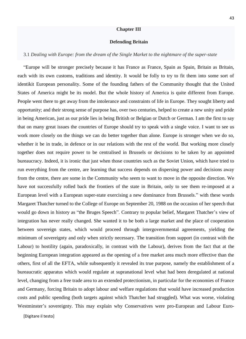# **Chapter III**

# **Defending Britain**

# 3.1 *Dealing with Europe: from the dream of the Single Market to the nightmare of the super-state*

"Europe will be stronger precisely because it has France as France, Spain as Spain, Britain as Britain, each with its own customs, traditions and identity. It would be folly to try to fit them into some sort of identikit European personality. Some of the founding fathers of the Community thought that the United States of America might be its model. But the whole history of America is quite different from Europe. People went there to get away from the intolerance and constraints of life in Europe. They sought liberty and opportunity; and their strong sense of purpose has, over two centuries, helped to create a new unity and pride in being American, just as our pride lies in being British or Belgian or Dutch or German. I am the first to say that on many great issues the countries of Europe should try to speak with a single voice. I want to see us work more closely on the things we can do better together than alone. Europe is stronger when we do so, whether it be in trade, in defence or in our relations with the rest of the world. But working more closely together does not require power to be centralised in Brussels or decisions to be taken by an appointed bureaucracy. Indeed, it is ironic that just when those countries such as the Soviet Union, which have tried to run everything from the centre, are learning that success depends on dispersing power and decisions away from the centre, there are some in the Community who seem to want to move in the opposite direction. We have not successfully rolled back the frontiers of the state in Britain, only to see them re-imposed at a European level with a European super-state exercising a new dominance from Brussels." with these words Margaret Thatcher turned to the College of Europe on September 20, 1988 on the occasion of her speech that would go down in history as "the Bruges Speech". Contrary to popular belief, Margaret Thatcher's view of integration has never really changed. She wanted it to be both a large market and the place of cooperation between sovereign states, which would proceed through intergovernmental agreements, yielding the minimum of sovereignty and only when strictly necessary. The transition from support (in contrast with the Labour) to hostility (again, paradoxically, in contrast with the Labour), derives from the fact that at the beginning European integration appeared as the opening of a free market area much more effective than the others, first of all the EFTA, while subsequently it revealed its true purpose, namely the establishment of a bureaucratic apparatus which would regulate at supranational level what had been deregulated at national level, changing from a free trade area to an extended protectionism, in particular for the economies of France and Germany, forcing Britain to adopt labour and welfare regulations that would have increased production costs and public spending (both targets against which Thatcher had struggled). What was worse, violating Westminster's sovereignty. This may explain why Conservatives were pro-European and Labour Euro-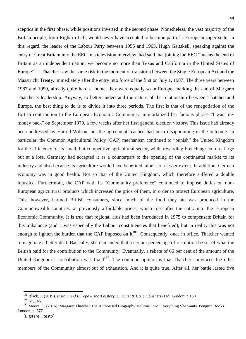sceptics in the first phase, while positions inverted in the second phase. Nonetheless, the vast majority of the British people, from Right to Left, would never have accepted to become part of a European super-state. In this regard, the leader of the Labour Party between 1955 and 1963, Hugh Gaitskell, speaking against the entry of Great Britain into the EEC in a television interview, had said that joining the EEC "means the end of Britain as an independent nation; we become no more than Texas and California in the United States of Europe<sup>"185</sup>. Thatcher saw the same risk in the moment of transition between the Single European Act and the Maastricht Treaty, immediately after the entry into force of the first on July 1, 1987. The three years between 1987 and 1990, already quite hard at home, they were equally so in Europe, marking the end of Margaret Thatcher's leadership. Anyway, to better understand the nature of the relationship between Thatcher and Europe, the best thing to do is to divide it into three periods. The first is that of the renegotiation of the British contribution to the European Economic Community, immortalized her famous phrase "I want my money back" on September 1979, a few weeks after her first general election victory. This issue had already been addressed by Harold Wilson, but the agreement reached had been disappointing in the outcome. In particular, the Common Agricultural Policy (CAP) mechanism continued to "punish" the United Kingdom for the efficiency of its small, but competitive agricultural sector, while rewarding French agriculture, large but at a loss. Germany had accepted it as a counterpart to the opening of the continental market to its industry and also because its agriculture would have benefited, albeit to a lesser extent. In addition, German economy was in good health. Not so that of the United Kingdom, which therefore suffered a double injustice. Furthermore, the CAP with its "Community preference" continued to impose duties on non-European agricultural products which increased the price of them, in order to protect European agriculture. This, however, harmed British consumers, since much of the food they ate was produced in the Commonwealth countries, at previously affordable prices, which rose after the entry into the European Economic Community. It is true that regional aids had been introduced in 1975 to compensate Britain for this imbalance (and it was especially the Labour constituencies that benefited), but in reality this was not enough to lighten the burden that the CAP imposed on  $it^{186}$ . Consequently, once in office, Thatcher wanted to negotiate a better deal. Basically, she demanded that a certain percentage of restitution be set of what the British paid for the contribution to the Community. Eventually, a rebate of 66 per cent of the amount of the United Kingdom's contribution was fixed<sup>187</sup>. The common opinion is that Thatcher convinced the other members of the Community almost out of exhaustion. And it is quite true. After all, her battle lasted five

<sup>185</sup> Black, J. (2019). *Britain and Europe A short history*. C. Hurst & Co. (Publishers) Ltd. London, p.158

<sup>186</sup> *Ivi*, 165.

<sup>187</sup> Moore, C. (2016). Margaret Thatcher The Authorised Biography Volume Two: Everything She wants. Penguin Books. London, p. 377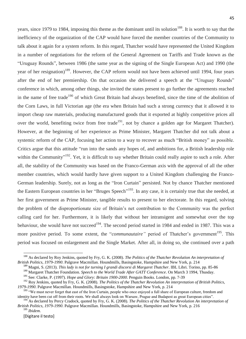years, since 1979 to 1984, imposing this theme as the dominant until its solution<sup>188</sup>. It is worth to say that the inefficiency of the organization of the CAP would have forced the member countries of the Community to talk about it again for a system reform. In this regard, Thatcher would have represented the United Kingdom in a number of negotiations for the reform of the General Agreement on Tariffs and Trade known as the "Uruguay Rounds", between 1986 (the same year as the signing of the Single European Act) and 1990 (the year of her resignation)<sup>189</sup>. However, the CAP reform would not have been achieved until 1994, four years after the end of her premiership. On that occasion she delivered a speech at the "Uruguay Rounds" conference in which, among other things, she invited the states present to go further the agreements reached in the name of free trade<sup>190</sup> of which Great Britain had always benefited, since the time of the abolition of the Corn Laws, in full Victorian age (the era when Britain had such a strong currency that it allowed it to import cheap raw materials, producing manufactured goods that it exported at highly competitive prices all over the world, benefiting twice from free trade<sup>191</sup>, not by chance a golden age for Margaret Thatcher). However, at the beginning of her experience as Prime Minister, Margaret Thatcher did not talk about a systemic reform of the CAP, focusing her action to a way to recover as much "British money" as possible. Critics argue that this attitude "run into the sands any hopes of, and ambitions for, a British leadership role within the Community"<sup>192</sup>. Yet, it is difficult to say whether Britain could really aspire to such a role. After all, the stability of the Community was based on the Franco-German axis with the approval of all the other member countries, which would hardly have given support to a United Kingdom challenging the Franco-German leadership. Surely, not as long as the "Iron Curtain" persisted. Not by chance Thatcher mentioned the Eastern European countries in her "Bruges Speech"<sup>193</sup>. In any case, it is certainly true that she needed, at her first government as Prime Minister, tangible results to present to her electorate. In this regard, solving the problem of the disproportionate size of Britain's net contribution to the Community was the perfect calling card for her. Furthermore, it is likely that without her intransigent and somewhat over the top behaviour, she would have not succeed<sup>194</sup>. The second period started in 1984 and ended in 1987. This was a more positive period. To some extent, the "*communautaire*" period of Thatcher's government<sup>195</sup>. This period was focused on enlargement and the Single Market. After all, in doing so, she continued over a path

 $\overline{\phantom{a}}$ 

<sup>188</sup> As declared by Roy Jenkins, quoted by Fry, G. K. (2008). *The Politics of the Thatcher Revolution An interpretation of British Politics, 1979-1990*. Palgrave Macmillan. Houndmills, Basingstoke, Hampshire and New York, p. 214

<sup>189</sup> Magni, S. (2013). *This lady is not for turning I grandi discorsi di Margaret Thatcher*. IBL Libri. Torino, pp. 85-86

<sup>190</sup> Margaret Thatcher Foundation. *Speech to the World Trade After GATT Conference*. On March 3 1994, Thusday.

<sup>191</sup> See: Clarke, P. (1997). *Hope and Glory: Britain 1900-2000*. Penguin Books. London, pp. 7-39

<sup>&</sup>lt;sup>192</sup> Roy Jenkins, quoted by Fry, G. K. (2008). *The Politics of the Thatcher Revolution An interpretation of British Politics*, *1979-1990*. Palgrave Macmillan. Houndmills, Basingstoke, Hampshire and New York, p. 214

<sup>&</sup>lt;sup>193</sup> "We must never forget that east of the Iron Curtain, people who once enjoyed a full share of European culture, freedom and identity have been cut off from their roots. We shall always look on Warsaw, Prague and Budapest as great European cities".

<sup>&</sup>lt;sup>194</sup> As declared by Percy Cradock, quoted by Fry, G. K. (2008). The Politics of the Thatcher Revolution An interpretation of *British Politics, 1979-1990*. Palgrave Macmillan. Houndmills, Basingstoke, Hampshire and New York, p. 216 <sup>195</sup> *Ibidem*.

<sup>[</sup>Digitare il testo]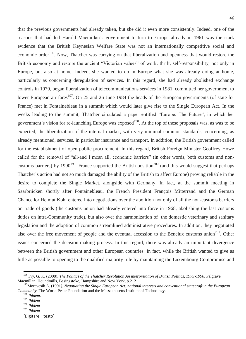that the previous governments had already taken, but she did it even more consistently. Indeed, one of the reasons that had led Harold Macmillan's government to turn to Europe already in 1961 was the stark evidence that the British Keynesian Welfare State was not an internationally competitive social and economic order<sup>196</sup>. Now, Thatcher was carrying on that liberalization and openness that would restore the British economy and restore the ancient "Victorian values" of work, thrift, self-responsibility, not only in Europe, but also at home. Indeed, she wanted to do in Europe what she was already doing at home, particularly as concerning deregulation of services. In this regard, she had already abolished exchange controls in 1979, began liberalization of telecommunications services in 1981, committed her government to lower European air fares<sup>197</sup>. On 25 and 26 June 1984 the heads of the European governments (of state for France) met in Fontainebleau in a summit which would later give rise to the Single European Act. In the weeks leading to the summit, Thatcher circulated a paper entitled "Europe: The Future", in which her government's vision for re-launching Europe was exposed<sup>198</sup>. At the top of these proposals was, as was to be expected, the liberalization of the internal market, with very minimal common standards, concerning, as already mentioned, services, in particular insurance and transport. In addition, the British government called for the establishment of open public procurement. In this regard, British Foreign Minister Geoffrey Howe called for the removal of "all-and I mean all, economic barriers" (in other words, both customs and noncustoms barriers) by 1990<sup>199</sup>. France supported the British position<sup>200</sup> (and this would suggest that perhaps Thatcher's action had not so much damaged the ability of the British to affect Europe) proving reliable in the desire to complete the Single Market, alongside with Germany. In fact, at the summit meeting in Saarbriicken shortly after Fontainebleau, the French President François Mitterrand and the German Chancellor Helmut Kohl entered into negotiations over the abolition not only of all the non-customs barriers on trade of goods (the customs union had already entered into force in 1968, abolishing the last customs duties on intra-Community trade), but also over the harmonization of the domestic veterinary and sanitary legislation and the adoption of common streamlined administrative procedures. In addition, they negotiated also over the free movement of people and the eventual accession to the Benelux customs union<sup>201</sup>. Other issues concerned the decision-making process. In this regard, there was already an important divergence between the British government and other European countries. In fact, while the British wanted to give as little as possible to opening to the qualified majority rule by maintaining the Luxembourg Compromise and

 $\overline{\phantom{a}}$ 

<sup>196</sup> Fry, G. K. (2008). *The Politics of the Thatcher Revolution An interpretation of British Politics, 1979-1990*. Palgrave Macmillan. Houndmills, Basingstoke, Hampshire and New York, p.212

<sup>197</sup>Moravcsik A. (1991*). Negotiating the Single European Act: national interests and conventional statecraft in the European Community.* The World Peace Foundation and the Massachusetts Institute of Technology.

<sup>198</sup> *Ibidem*.

<sup>199</sup> *Ibidem*.

<sup>200</sup> *Ibidem*

<sup>201</sup> *Ibidem*.

<sup>[</sup>Digitare il testo]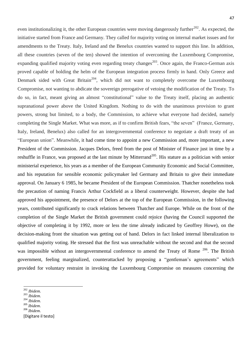even institutionalizing it, the other European countries were moving dangerously further<sup>202</sup>. As expected, the initiative started from France and Germany. They called for majority voting on internal market issues and for amendments to the Treaty. Italy, Ireland and the Benelux countries wanted to support this line. In addition, all these countries (seven of the ten) showed the intention of overcoming the Luxembourg Compromise, expanding qualified majority voting even regarding treaty changes<sup>203</sup>. Once again, the Franco-German axis proved capable of holding the helm of the European integration process firmly in hand. Only Greece and Denmark sided with Great Britain<sup>204</sup>, which did not want to completely overcome the Luxembourg Compromise, not wanting to abdicate the sovereign prerogative of vetoing the modification of the Treaty. To do so, in fact, meant giving an almost "constitutional" value to the Treaty itself, placing an authentic supranational power above the United Kingdom. Nothing to do with the unanimous provision to grant powers, strong but limited, to a body, the Commission, to achieve what everyone had decided, namely completing the Single Market. What was more, as if to confirm British fears, "the seven" (France, Germany, Italy, Ireland, Benelux) also called for an intergovernmental conference to negotiate a draft treaty of an "European union". Meanwhile, it had come time to appoint a new Commission and, more important, a new President of the Commission. Jacques Delors, freed from the post of Minister of Finance just in time by a reshuffle in France, was proposed at the last minute by Mitterrand<sup>205</sup>. His stature as a politician with senior ministerial experience, his years as a member of the European Community Economic and Social Committee, and his reputation for sensible economic policymaker led Germany and Britain to give their immediate approval. On January 6 1985, he became President of the European Commission. Thatcher nonetheless took the precaution of naming Francis Arthur Cockfield as a liberal counterweight. However, despite she had approved his appointment, the presence of Delors at the top of the European Commission, in the following years, contributed significantly to crack relations between Thatcher and Europe. While on the front of the completion of the Single Market the British government could rejoice (having the Council supported the objective of completing it by 1992, more or less the time already indicated by Geoffrey Howe), on the decision-making front the situation was getting out of hand. Delors in fact linked internal liberalization to qualified majority voting. He stressed that the first was unreachable without the second and that the second was impossible without an intergovernmental conference to amend the Treaty of Rome <sup>206</sup>. The British government, feeling marginalized, counterattacked by proposing a "gentleman's agreements" which provided for voluntary restraint in invoking the Luxembourg Compromise on measures concerning the

- $\overline{a}$ <sup>202</sup> *Ibidem*.
- <sup>203</sup> *Ibidem*.
- <sup>204</sup> *Ibidem*.
- <sup>205</sup> *Ibidem*.
- <sup>206</sup> *Ibidem*.

<sup>[</sup>Digitare il testo]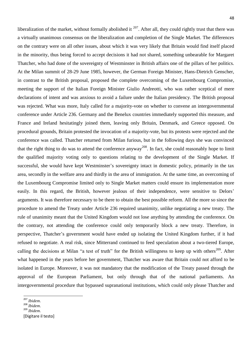liberalization of the market, without formally abolished it  $^{207}$ . After all, they could rightly trust that there was a virtually unanimous consensus on the liberalization and completion of the Single Market. The differences on the contrary were on all other issues, about which it was very likely that Britain would find itself placed in the minority, thus being forced to accept decisions it had not shared, something unbearable for Margaret Thatcher, who had done of the sovereignty of Westminster in British affairs one of the pillars of her politics. At the Milan summit of 28-29 June 1985, however, the German Foreign Minister, Hans-Dietrich Genscher, in contrast to the British proposal, proposed the complete overcoming of the Luxembourg Compromise, meeting the support of the Italian Foreign Minister Giulio Andreotti, who was rather sceptical of mere declarations of intent and was anxious to avoid a failure under the Italian presidency. The British proposal was rejected. What was more, Italy called for a majority-vote on whether to convene an intergovernmental conference under Article 236. Germany and the Benelux countries immediately supported this measure, and France and Ireland hesitatingly joined them, leaving only Britain, Denmark, and Greece opposed. On procedural grounds, Britain protested the invocation of a majority-vote, but its protests were rejected and the conference was called. Thatcher returned from Milan furious, but in the following days she was convinced that the right thing to do was to attend the conference anyway<sup>208</sup>. In fact, she could reasonably hope to limit the qualified majority voting only to questions relating to the development of the Single Market. If successful, she would have kept Westminster's sovereignty intact in domestic policy, primarily in the tax

48

area, secondly in the welfare area and thirdly in the area of immigration. At the same time, an overcoming of the Luxembourg Compromise limited only to Single Market matters could ensure its implementation more easily. In this regard, the British, however jealous of their independence, were sensitive to Delors' arguments. It was therefore necessary to be there to obtain the best possible reform. All the more so since the procedure to amend the Treaty under Article 236 required unanimity, unlike negotiating a new treaty. The rule of unanimity meant that the United Kingdom would not lose anything by attending the conference. On the contrary, not attending the conference could only temporarily block a new treaty. Therefore, in perspective, Thatcher's government would have ended up isolating the United Kingdom further, if it had refused to negotiate. A real risk, since Mitterrand continued to feed speculation about a two-tiered Europe, calling the decisions at Milan "a test of truth" for the British willingness to keep up with others<sup>209</sup>. After what happened in the years before her government, Thatcher was aware that Britain could not afford to be isolated in Europe. Moreover, it was not mandatory that the modification of the Treaty passed through the approval of the European Parliament, but only through that of the national parliaments. An intergovernmental procedure that bypassed supranational institutions, which could only please Thatcher and

 $\overline{\phantom{a}}$ <sup>207</sup> *Ibidem*.

<sup>208</sup> *Ibidem*.

<sup>209</sup> *Ibidem*.

<sup>[</sup>Digitare il testo]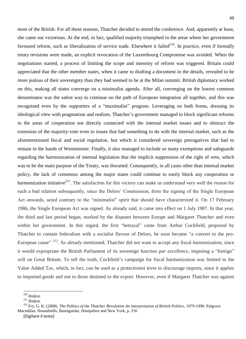most of the British. For all these reasons, Thatcher decided to attend the conference. And, apparently at least, she came out victorious. At the end, in fact, qualified majority triumphed in the areas where her government favoured reform, such as liberalization of service trade. Elsewhere it failed<sup>210</sup>. In practice, even if formally treaty revisions were made, an explicit revocation of the Luxembourg Compromise was avoided. When the negotiations started, a process of limiting the scope and intensity of reform was triggered. Britain could appreciated that the other member states, when it came to drafting a document in the details, revealed to be more jealous of their sovereignty than they had seemed to be at the Milan summit. British diplomacy worked on this, making all states converge on a minimalist agenda. After all, converging on the lowest common denominator was the safest way to continue on the path of European integration all together, and this was recognized even by the supporters of a "maximalist" program. Leveraging on both fronts, dressing its ideological view with pragmatism and realism, Thatcher's government managed to block significant reforms in the areas of cooperation not directly connected with the internal market issues and to obstruct the extension of the majority-vote even to issues that had something to do with the internal market, such as the aforementioned fiscal and social regulation, but which it considered sovereign prerogatives that had to remain in the hands of Westminster. Finally, it also managed to include so many exemptions and safeguards regarding the harmonization of internal legislation that the implicit suppression of the right of veto, which was to be the main purpose of the Treaty, was thwarted. Consequently, in all cases other than internal market policy, the lack of consensus among the major states could continue to easily block any cooperation or harmonization initiative<sup>211</sup>. The satisfaction for this victory can make us understand very well the reason for such a bad relation subsequently, since the Delors' Commission, from the signing of the Single European Act onwards, acted contrary to the "minimalist" spirit that should have characterized it. On 17 February 1986, the Single European Act was signed. As already said, it came into effect on 1 July 1987. In that year, the third and last period began, marked by the disputes between Europe and Margaret Thatcher and even within her government. In this regard, the first "betrayal" came from Arthur Cockfield, proposed by Thatcher to contain federalism with a socialist flavour of Delors, he soon became "a convert to the pro-European cause" <sup>212</sup>. As already mentioned, Thatcher did not want to accept any fiscal harmonization, since it would expropriate the British Parliament of its sovereign function *par excellence*, imposing a "foreign" will on Great Britain. To tell the truth, Cockfield's campaign for fiscal harmonization was limited to the Value Added Tax, which, in fact, can be used as a protectionist lever to discourage imports, since it applies to imported goods and not to those destined to the export. However, even if Margaret Thatcher was against

 $\overline{a}$ <sup>210</sup> *Ibidem*.

<sup>211</sup> *Ibidem*.

<sup>212</sup> Fry, G. K. (2008). *The Politics of the Thatcher Revolution An interpretation of British Politics*, 1979-1990. Palgrave Macmillan. Houndmills, Basingstoke, Hampshire and New York, p. 216

<sup>[</sup>Digitare il testo]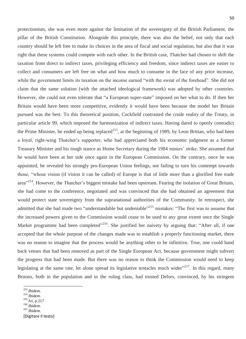protectionism, she was even more against the limitation of the sovereignty of the British Parliament, the pillar of the British Constitution. Alongside this principle, there was also the belief, not only that each country should be left free to make its choices in the area of fiscal and social regulation, but also that it was right that these systems could compete with each other. In the British case, Thatcher had chosen to shift the taxation from direct to indirect taxes, privileging efficiency and freedom, since indirect taxes are easier to collect and consumers are left free on what and how much to consume in the face of any price increase, while the government limits its taxation on the income earned "with the sweat of the forehead". She did not claim that the same solution (with the attached ideological framework) was adopted by other countries. However, she could not even tolerate that "a European super-state" imposed on her what to do. If then her Britain would have been more competitive, evidently it would have been because the model her Britain pursued was the best. To this theoretical position, Cockfield contrasted the crude reality of the Treaty, in particular article 99, which imposed the harmonization of indirect taxes. Having dared to openly contradict the Prime Minister, he ended up being replaced<sup>213</sup>, at the beginning of 1989, by Leon Brittan, who had been a loyal, right-wing Thatcher's supporter, who had appreciated both his economic judgment as a former Treasury Minister and his tough stance as Home Secretary during the 1984 miners' strike. She assumed that he would have been at her side once again in the European Commission. On the contrary, once he was appointed, he revealed his strongly pro-European Union feelings, not failing to turn his contempt towards those, "whose vision (if vision it can be called) of Europe is that of little more than a glorified free trade area<sup>"214</sup>. However, the Thatcher's biggest mistake had been upstream. Fearing the isolation of Great Britain, she had come to the conference, negotiated and was convinced that she had obtained an agreement that would protect state sovereignty from the supranational authorities of the Community. In retrospect, she admitted that she had made two "understandable but undeniable"<sup>215</sup> mistakes: "The first was to assume that the increased powers given to the Commission would cease to be used to any great extent once the Single Market programme had been completed"<sup>216</sup>. She justified her naivety by arguing that: "After all, if one accepted that the whole purpose of the changes made was to establish a properly functioning market, there was no reason to imagine that the process would be anything other to be infinitive. True, one could hand back vetoes that had been removed as part of the Single European Act, because government might subvert the progress that had been made. But there was no reason to think the Commission would need to keep legislating at the same rate, let alone spread its legislative tentacles much wider<sup>"217</sup>. In this regard, many Britons, both in the population and in the ruling class, had trusted Delors, convinced, by his stringent

- <sup>214</sup> *Ibidem*.
- <sup>215</sup> *Ivi*, p.217
- <sup>216</sup> *Ibidem*.
- <sup>217</sup> *Ibidem*.
- [Digitare il testo]

<sup>213</sup> *Ibidem*.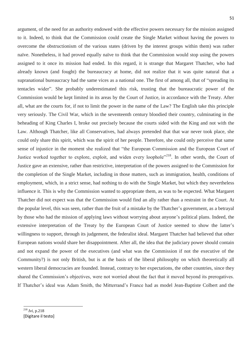argument, of the need for an authority endowed with the effective powers necessary for the mission assigned to it. Indeed, to think that the Commission could create the Single Market without having the powers to overcome the obstructionism of the various states (driven by the interest groups within them) was rather naïve. Nonetheless, it had proved equally naïve to think that the Commission would stop using the powers assigned to it once its mission had ended. In this regard, it is strange that Margaret Thatcher, who had already known (and fought) the bureaucracy at home, did not realize that it was quite natural that a supranational bureaucracy had the same vices as a national one. The first of among all, that of "spreading its tentacles wider". She probably underestimated this risk, trusting that the bureaucratic power of the Commission would be kept limited in its areas by the Court of Justice, in accordance with the Treaty. After all, what are the courts for, if not to limit the power in the name of the Law? The English take this principle very seriously. The Civil War, which in the seventeenth century bloodied their country, culminating in the beheading of King Charles I, broke out precisely because the courts sided with the King and not with the Law. Although Thatcher, like all Conservatives, had always pretended that that war never took place, she could only share this spirit, which was the spirit of her people. Therefore, she could only perceive that same sense of injustice in the moment she realized that "the European Commission and the European Court of Justice worked together to explore, exploit, and widen every loophole"<sup>218</sup>. In other words, the Court of Justice gave an extensive, rather than restrictive, interpretation of the powers assigned to the Commission for the completion of the Single Market, including in those matters, such as immigration, health, conditions of employment, which, in a strict sense, had nothing to do with the Single Market, but which they nevertheless influence it. This is why the Commission wanted to appropriate them, as was to be expected. What Margaret Thatcher did not expect was that the Commission would find an ally rather than a restraint in the Court. At the popular level, this was seen, rather than the fruit of a mistake by the Thatcher's government, as a betrayal by those who had the mission of applying laws without worrying about anyone's political plans. Indeed, the extensive interpretation of the Treaty by the European Court of Justice seemed to show the latter's willingness to support, through its judgement, the federalist ideal. Margaret Thatcher had believed that other European nations would share her disappointment. After all, the idea that the judiciary power should contain and not expand the power of the executives (and what was the Commission if not the executive of the Community?) is not only British, but is at the basis of the liberal philosophy on which theoretically all western liberal democracies are founded. Instead, contrary to her expectations, the other countries, since they shared the Commission's objectives, were not worried about the fact that it moved beyond its prerogatives. If Thatcher's ideal was Adam Smith, the Mitterrand's France had as model Jean-Baptiste Colbert and the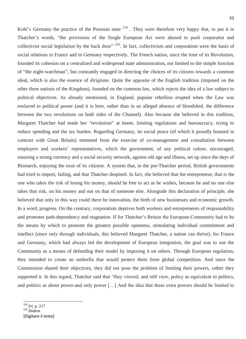Kohl's Germany the practice of the Prussian state  $219$ . They were therefore very happy that, to put it in Thatcher's words, "the provisions of the Single European Act were abused to push corporatist and collectivist social legislation by the back door"  $220$ . In fact, collectivism and corporatism were the basis of social relations in France and in Germany respectively. The French nation, since the time of its Revolution, founded its cohesion on a centralized and widespread state administration, not limited to the simple function of "the night-watchman", but constantly engaged in directing the choices of its citizens towards a common ideal, which is also the essence of *dirigisme*. Quite the opposite of the English tradition (imposed on the other three nations of the Kingdom), founded on the common law, which rejects the idea of a law subject to political objectives. As already mentioned, in England, popular rebellion erupted when the Law was enslaved to political power (and it is here, rather than in an alleged absence of bloodshed, the difference between the two revolutions on both sides of the Channel). Also because she believed in this tradition, Margaret Thatcher had made her "revolution" at home, limiting regulations and bureaucracy, trying to reduce spending and the tax burden. Regarding Germany, its social peace (of which it proudly boasted in contrast with Great Britain) stemmed from the exercise of co-management and consultation between employers and workers' representatives, which the government, of any political colour, encouraged, ensuring a strong currency and a social security network, against old age and illness, set up since the days of Bismarck, enjoying the trust of its citizens. A system that, in the pre-Thatcher period, British governments had tried to import, failing, and that Thatcher despised. In fact, she believed that the entrepreneur, that is the one who takes the risk of losing his money, should be free to act as he wishes, because he and no one else takes that risk, on his money and not on that of someone else. Alongside this declaration of principle, she believed that only in this way could there be innovation, the birth of new businesses and economic growth. In a word, progress. On the contrary, corporatism deprives both workers and entrepreneurs of responsability and promotes path-dependency and stagnation. If for Thatcher's Britain the European Community had to be the means by which to promote the greatest possible openness, stimulating individual commitment and intellect (since only through individuals, this believed Margaret Thatcher, a nation can thrive), for France and Germany, which had always led the development of European integration, the goal was to use the Community as a means of defending their model by imposing it on others. Through European regulation, they intended to create an umbrella that would protect them from global competition. And since the Commission shared their objectives, they did not pose the problem of limiting their powers, rather they supported it. In this regard, Thatcher said that "they viewed, and still view, policy as equivalent to politics, and politics as about power-and only power […] And the idea that these extra powers should be limited to

 $\overline{a}$ <sup>219</sup> *Ivi,* p. 217

<sup>220</sup> *Ibidem.*

<sup>[</sup>Digitare il testo]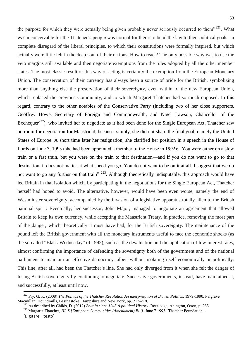the purpose for which they were actually being given probably never seriously occurred to them<sup>"221</sup>. What was inconceivable for the Thatcher's people was normal for them: to bend the law to their political goals. In complete disregard of the liberal principles, to which their constitutions were formally inspired, but which actually were little felt in the deep soul of their nations. How to react? The only possible way was to use the veto margins still available and then negotiate exemptions from the rules adopted by all the other member states. The most classic result of this way of acting is certainly the exemption from the European Monetary Union. The conservation of their currency has always been a source of pride for the British, symbolizing more than anything else the preservation of their sovereignty, even within of the new European Union, which replaced the previous Community, and to which Margaret Thatcher had so much opposed. In this regard, contrary to the other notables of the Conservative Party (including two of her close supporters, Geoffrey Howe, Secretary of Foreign and Commonwealth, and Nigel Lawson, Chancellor of the Exchequer<sup>222</sup>), who invited her to negotiate as it had been done for the Single European Act, Thatcher saw no room for negotiation for Maastricht, because, simply, she did not share the final goal, namely the United States of Europe. A short time later her resignation, she clarified her position in a speech in the House of Lords on June 7, 1993 (she had been appointed a member of the House in 1992): "You were either on a slow train or a fast train, but you were on the train to that destination—and if you do not want to go to that destination, it does not matter at what speed you go. You do not want to be on it at all. I suggest that we do not want to go any further on that train" <sup>223</sup>. Although theoretically indisputable, this approach would have led Britain in that isolation which, by participating in the negotiations for the Single European Act, Thatcher herself had hoped to avoid. The alternative, however, would have been even worse, namely the end of Westminster sovereignty, accompanied by the invasion of a legislative apparatus totally alien to the British national spirit. Eventually, her successor, John Major, managed to negotiate an agreement that allowed Britain to keep its own currency, while accepting the Maastricht Treaty. In practice, removing the most part of the danger, which theoretically it must have had, for the British sovereignty. The maintenance of the pound left the British government with all the monetary instruments useful to face the economic shocks (as the so-called "Black Wednesday" of 1992), such as the devaluation and the application of low interest rates, almost confirming the importance of defending the sovereignty both of the government and of the national parliament to maintain an effective democracy, albeit without isolating itself economically or politically. This line, after all, had been the Thatcher's line. She had only diverged from it when she felt the danger of losing British sovereignty by continuing to negotiate. Successive governments, instead, have maintained it, and successfully, at least until now.  $\overline{a}$ 

<sup>221</sup> Fry, G. K. (2008) *The Politics of the Thatcher Revolution An interpretation of British Politics*, 1979-1990. Palgrave Macmillan. Houndmills, Basingstoke, Hampshire and New York, pp. 217-218.

<sup>[</sup>Digitare il testo] <sup>222</sup> As described by Childs, D. (2012) *Britain since 1945 A political History.* Routledge*,* Abington, Oxon, p. 265 <sup>223</sup> Margaret Thatcher, *HL S [European Communities (Amendment) Bill]*, June 7 1993. "Thatcher Foundation".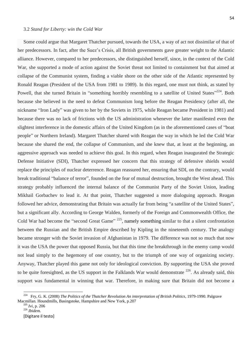# 3.2 *Stand for Liberty: win the Cold War*

Some could argue that Margaret Thatcher pursued, towards the USA, a way of act not dissimilar of that of her predecessors. In fact, after the Suez's Crisis, all British governments gave greater weight to the Atlantic alliance. However, compared to her predecessors, she distinguished herself, since, in the context of the Cold War, she supported a mode of action against the Soviet threat not limited to containment but that aimed at collapse of the Communist system, finding a viable shore on the other side of the Atlantic represented by Ronald Reagan (President of the USA from 1981 to 1989). In this regard, one must not think, as stated by Powell, that she turned Britain in "something horribly resembling to a satellite of United States"<sup>224</sup>. Both because she believed in the need to defeat Communism long before the Reagan Presidency (after all, the nickname "Iron Lady" was given to her by the Soviets in 1975, while Reagan became President in 1981) and because there was no lack of frictions with the US administration whenever the latter manifested even the slightest interference in the domestic affairs of the United Kingdom (as in the aforementioned cases of "boat people" or Northern Ireland). Margaret Thatcher shared with Reagan the way in which he led the Cold War because she shared the end, the collapse of Communism, and she knew that, at least at the beginning, an aggressive approach was needed to achieve this goal. In this regard, when Reagan inaugurated the Strategic Defense Initiative (SDI), Thatcher expressed her concern that this strategy of defensive shields would replace the principles of nuclear deterrence. Reagan reassured her, ensuring that SDI, on the contrary, would break traditional "balance of terror", founded on the fear of mutual destruction, brought the West ahead. This strategy probably influenced the internal balance of the Communist Party of the Soviet Union, leading Mikhail Gorbachev to lead it. At that point, Thatcher suggested a more dialoguing approach. Reagan followed her advice, demonstrating that Britain was actually far from being "a satellite of the United States", but a significant ally. According to George Walden, formerly of the Foreign and Commonwealth Office, the Cold War had become the "second Great Game"  $^{225}$ , namely something similar to that a silent confrontation between the Russian and the British Empire described by Kipling in the nineteenth century. The analogy became stronger with the Soviet invasion of Afghanistan in 1979. The difference was not so much that now it was the USA the power that opposed Russia, but that this time the breakthrough in the enemy camp would not lead simply to the hegemony of one country, but to the triumph of one way of organizing society. Anyway, Thatcher played this game not only for ideological conviction. By supporting the USA she proved to be quite foresighted, as the US support in the Falklands War would demonstrate <sup>226</sup>. As already said, this support was fundamental in winning that war. Therefore, in making sure that Britain did not become a

 224 Fry, G. K. (2008) *The Politics of the Thatcher Revolution An interpretation of British Politics*, 1979-1990. Palgrave Macmillan. Houndmills, Basingstoke, Hampshire and New York, p.207

<sup>225</sup> *Ivi*, p. 206

<sup>226</sup> *Ibidem.*

<sup>[</sup>Digitare il testo]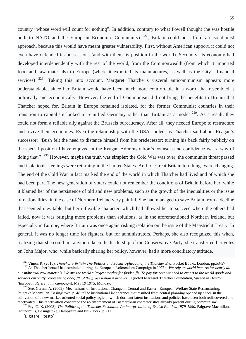country "whose word will count for nothing". In addition, contrary to what Powell thought (he was hostile both to NATO and the European Economic Community)  $^{227}$ , Britain could not afford an isolationist approach, because this would have meant greater vulnerability. First, without American support, it could not even have defended its possessions (and with them its position in the world). Secondly, its economy had developed interdependently with the rest of the world, from the Commonwealth (from which it imported food and raw materials) to Europe (where it exported its manufactures, as well as the City's financial services)<sup>228</sup>. Taking this into account, Margaret Thatcher's visceral anticommunism appears more understandable, since her Britain would have been much more comfortable in a world that resembled it politically and economically. However, the end of Communism did not bring the benefits to Britain that Thatcher hoped for. Britain in Europe remained isolated, for the former Communist countries in their transition to capitalism looked to reunified Germany rather than Britain as a model <sup>229</sup>. As a result, they could not form a reliable ally against the Brussels bureaucracy. After all, they needed Europe to restructure and revive their economies. Even the relationship with the USA cooled, as Thatcher said about Reagan's successor: "Bush felt the need to distance himself from his predecessor: turning his back fairly publicly on the special position I have enjoyed in the Reagan Administration's counsels and confidence was a way of doing that."<sup>230</sup> However, maybe the truth was simpler: the Cold War was over, the communist threat passed and isolationist feelings were returning in the United States. And for Great Britain too things were changing. The end of the Cold War in fact marked the end of the world in which Thatcher had lived and of which she had been part. The new generation of voters could not remember the conditions of Britain before her, while it blamed her of the persistence of old and new problems, such as the growth of the inequalities or the issue of nationalities, in the case of Northern Ireland very painful. She had managed to save Britain from a decline that seemed inevitable, but her inflexible character, which had allowed her to succeed where the others had failed, now it was bringing more problems than solutions, as in the aforementioned Northern Ireland, but especially in Europe, where Britain was once again risking isolation on the issue of the Maastricht Treaty. In general, it was no longer time for fighters, but for administrators. Perhaps, she also recognized this when, realizing that she could not anymore keep the leadership of the Conservative Party, she transferred her votes on John Major, who, while basically sharing her policy, however, had a more conciliatory attitude.

 $\overline{a}$ <sup>227</sup> Vinen, R. (2010). *Thatcher's Britain The Politics and Social Upheaval of the Thatcher Era*. Pocket Books. London, pp.53-57

<sup>228</sup> As Thatcher herself had reminded during the European Referendum Campaign in 1975: "*We rely on world imports for nearly all our industrial raw materials. We are the world's largest market for foodstuffs. To pay for both we need to export to the world goods and services currently representing one-fifth of the gross national product".* Quoted Margaret Thatcher Foundation, *Speech in Hendon (European Referendum campaign)*, May 19 1975, Monday.

<sup>&</sup>lt;sup>229</sup> See: Cerami A. (2009) Mechanisms of Institutional Change in Central and Eastern European Welfare State Restructuring. Palgrave Macmillan. Basingstoke, p. 46: "The institutional incoherence that resulted from central planning opened up space in the cultivation of a new market-oriented social policy logic in which dormant latent institutions and policies have been both rediscovered and reactivated. This reactivation concerned the re-enforcement of Bismarckian characteristics already present during communism".

<sup>230</sup> Fry, G. K. (2008)*. The Politics of the Thatcher Revolution An interpretation of British Politics, 1979-1990.* Palgrave Macmillan. Houndmills, Basingstoke, Hampshire and New York, p.211

<sup>[</sup>Digitare il testo]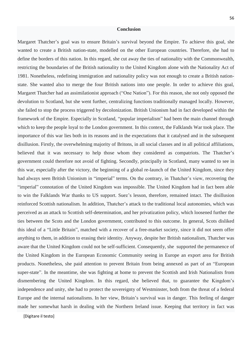# **Conclusion**

Margaret Thatcher's goal was to ensure Britain's survival beyond the Empire. To achieve this goal, she wanted to create a British nation-state, modelled on the other European countries. Therefore, she had to define the borders of this nation. In this regard, she cut away the ties of nationality with the Commonwealth, restricting the boundaries of the British nationality to the United Kingdom alone with the Nationality Act of 1981. Nonetheless, redefining immigration and nationality policy was not enough to create a British nationstate. She wanted also to merge the four British nations into one people. In order to achieve this goal, Margaret Thatcher had an assimilationist approach ("One Nation"). For this reason, she not only opposed the devolution to Scotland, but she went further, centralizing functions traditionally managed locally. However, she failed to stop the process triggered by decolonization. British Unionism had in fact developed within the framework of the Empire. Especially in Scotland, "popular imperialism" had been the main channel through which to keep the people loyal to the London government. In this context, the Falklands War took place. The importance of this war lies both in its reasons and in the expectations that it catalysed and in the subsequent disillusion. Firstly, the overwhelming majority of Britons, in all social classes and in all political affiliations, believed that it was necessary to help those whom they considered as compatriots. The Thatcher's government could therefore not avoid of fighting. Secondly, principally in Scotland, many wanted to see in this war, especially after the victory, the beginning of a global re-launch of the United Kingdom, since they had always seen British Unionism in "imperial" terms. On the contrary, in Thatcher's view, recovering the "imperial" connotation of the United Kingdom was impossible. The United Kingdom had in fact been able to win the Falklands War thanks to US support. Suez's lesson, therefore, remained intact. The disillusion reinforced Scottish nationalism. In addition, Thatcher's attack to the traditional local autonomies, which was perceived as an attack to Scottish self-determination, and her privatization policy, which loosened further the ties between the Scots and the London government, contributed to this outcome. In general, Scots disliked this ideal of a "Little Britain", matched with a recover of a free-market society, since it did not seem offer anything to them, in addition to erasing their identity. Anyway, despite her British nationalism, Thatcher was aware that the United Kingdom could not be self-sufficient. Consequently, she supported the permanence of the United Kingdom in the European Economic Community seeing in Europe an export area for British products. Nonetheless, she paid attention to prevent Britain from being annexed as part of an "European super-state". In the meantime, she was fighting at home to prevent the Scottish and Irish Nationalists from dismembering the United Kingdom. In this regard, she believed that, to guarantee the Kingdom's independence and unity, she had to protect the sovereignty of Westminster, both from the threat of a federal Europe and the internal nationalisms. In her view, Britain's survival was in danger. This feeling of danger made her somewhat harsh in dealing with the Northern Ireland issue. Keeping that territory in fact was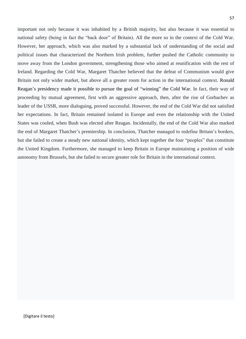important not only because it was inhabited by a British majority, but also because it was essential to national safety (being in fact the "back door" of Britain). All the more so in the context of the Cold War. However, her approach, which was also marked by a substantial lack of understanding of the social and political issues that characterized the Northern Irish problem, further pushed the Catholic community to move away from the London government, strengthening those who aimed at reunification with the rest of Ireland. Regarding the Cold War, Margaret Thatcher believed that the defeat of Communism would give Britain not only wider market, but above all a greater room for action in the international context. Ronald Reagan's presidency made it possible to pursue the goal of "winning" the Cold War. In fact, their way of proceeding by mutual agreement, first with an aggressive approach, then, after the rise of Gorbachev as leader of the USSR, more dialoguing, proved successful. However, the end of the Cold War did not satisfied her expectations. In fact, Britain remained isolated in Europe and even the relationship with the United States was cooled, when Bush was elected after Reagan. Incidentally, the end of the Cold War also marked the end of Margaret Thatcher's premiership. In conclusion, Thatcher managed to redefine Britain's borders, but she failed to create a steady new national identity, which kept together the four "peoples" that constitute the United Kingdom. Furthermore, she managed to keep Britain in Europe maintaining a position of wide autonomy from Brussels, but she failed to secure greater role for Britain in the international context.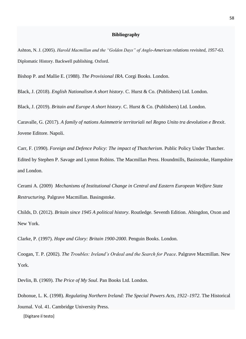# **Bibliography**

Ashton, N. J. (2005). *Harold Macmillan and the "Golden Days" of Anglo-American relations revisited, 1957-63*. Diplomatic History. Backwell publishing. Oxford.

Bishop P. and Mallie E. (1988). *The Provisional IRA*. Corgi Books. London.

Black, J. (2018). *English Nationalism A short history*. C. Hurst & Co. (Publishers) Ltd. London.

Black, J. (2019). *Britain and Europe A short history*. C. Hurst & Co. (Publishers) Ltd. London.

Caravalle, G. (2017). *A family of nations Asimmetrie territoriali nel Regno Unito tra devolution e Brexit*. Jovene Editore. Napoli.

Carr, F. (1990). *Foreign and Defence Policy: The impact of Thatcherism*. Public Policy Under Thatcher. Edited by Stephen P. Savage and Lynton Robins. The Macmillan Press. Houndmills, Basinstoke, Hampshire and London.

Cerami A. (2009) *Mechanisms of Institutional Change in Central and Eastern European Welfare State Restructuring.* Palgrave Macmillan. Basingstoke.

Childs, D. (2012). *Britain since 1945 A political history*. Routledge. Seventh Edition. Abingdon, Oxon and New York.

Clarke, P. (1997). *Hope and Glory: Britain 1900-2000*. Penguin Books. London.

Coogan, T. P. (2002). *The Troubles: Ireland's Ordeal and the Search for Peace*. Palgrave Macmillan. New York.

Devlin, B. (1969). *The Price of My Soul*. Pan Books Ltd. London.

Dohonue, L. K. (1998). *Regulating Northern Ireland: The Special Powers Acts, 1922–1972*. The Historical Journal. Vol. 41. Cambridge University Press.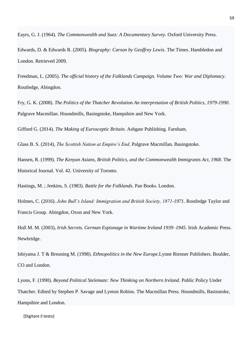Eayrs, G. J. (1964). *The Commonwealth and Suez: A Documentary Survey*. Oxford University Press.

Edwards, D. & Edwards R. (2005). *Biography: Carson by Geoffrey Lewis*. The Times. Hambledon and London. Retrieved 2009.

Freedman, L. (2005). *The official history of the Falklands Campaign. Volume Two: War and Diplomacy*. Routledge, Abingdon.

Fry, G. K. (2008). *The Politics of the Thatcher Revolution An interpretation of British Politics, 1979-1990*. Palgrave Macmillan. Houndmills, Basingstoke, Hampshire and New York.

Gifford G. (2014). *The Making of Eurosceptic Britain.* Ashgate Publishing. Farnham.

Glass B. S. (2014), *The Scottish Nation at Empire's End*. Palgrave Macmillan. Basingstoke.

Hansen, R. (1999). *The Kenyan Asians, British Politics, and the Commonwealth Immigrants Act, 1968*. The Historical Journal. Vol. 42. University of Toronto.

Hastings, M. ; Jenkins, S. (1983). *Battle for the Falklands*. Pan Books. London.

Holmes, C. (2016). *John Bull's Island: Immigration and British Society, 1871-1971*. Routledge Taylor and Francis Group. Abingdon, Oxon and New York.

Hull M. M. (2003), *Irish Secrets. German Espionage in Wartime Ireland 1939–1945*. Irish Academic Press. Newbridge.

Ishiyama J. T & Breuning M. (1998). *Ethnopolitics in the New Europe*.Lynne Rienner Publishers. Boulder, CO and London.

Lyons, F. (1990). *Beyond Political Stelemate: New Thinking on Northern Ireland*. Public Policy Under Thatcher. Edited by Stephen P. Savage and Lynton Robins. The Macmillan Press. Houndmills, Basinstoke, Hampshire and London.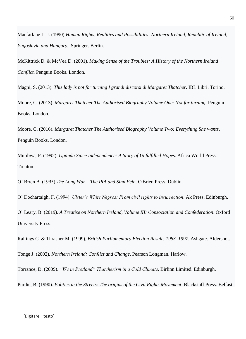Macfarlane L. J. (1990) *Human Rights, Realities and Possibilities: Northern Ireland, Republic of Ireland, Yugoslavia and Hungary*. Springer. Berlin.

McKittrick D. & McVea D. (2001). *Making Sense of the Troubles: A History of the Northern Ireland Conflict*. Penguin Books. London.

Magni, S. (2013). *This lady is not for turning I grandi discorsi di Margaret Thatcher*. IBL Libri. Torino.

Moore, C. (2013). *Margaret Thatcher The Authorised Biography Volume One: Not for turning*. Penguin Books. London.

Moore, C. (2016). *Margaret Thatcher The Authorised Biography Volume Two: Everything She wants*. Penguin Books. London.

Mutibwa, P. (1992). *Uganda Since Independence: A Story of Unfulfilled Hopes*. Africa World Press. Trenton.

O' Brien B. (1995) *The Long War – The IRA and Sinn Féin*. O'Brien Press, Dublin.

O' Dochartaigh, F. (1994). *Ulster's White Negros: From civil rights to insurrection*. Ak Press. Edinburgh.

O' Leary, B. (2019). *A Treatise on Northern Ireland, Volume III: Consociation and Confederation*. Oxford University Press.

Rallings C. & Thrasher M. (1999), *British Parliamentary Election Results 1983–1997*. Ashgate. Aldershot.

Tonge J. (2002). *Northern Ireland: Conflict and Change*. Pearson Longman. Harlow.

Torrance, D. (2009). *"We in Scotland" Thatcherism in a Cold Climate*. Birlinn Limited. Edinburgh.

Purdie, B. (1990). *Politics in the Streets: The origins of the Civil Rights Movement*. Blackstaff Press. Belfast.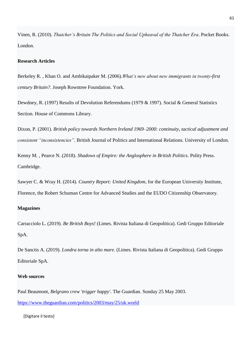Vinen, R. (2010). *Thatcher's Britain The Politics and Social Upheaval of the Thatcher Era*. Pocket Books. London.

# **Research Articles**

Berkeley R. , Khan O. and Ambikaipaker M. (2006).*What's new about new immigrants in twenty-first century Britain?.* Joseph Rowntree Foundation. York.

Dewdney, R. (1997) Results of Devolution Referendums (1979 & 1997). Social & General Statistics Section. House of Commons Library.

Dixon, P. (2001). *British policy towards Northern Ireland 1969–2000: continuity, tactical adjustment and consistent "inconsistencies"*. British Journal of Politics and International Relations. University of London.

Kenny M. , Pearce N. (2018). *Shadows of Empire: the Anglosphere in British Politics*. Polity Press. Cambridge.

Sawyer C. & Wray H. (2014). *Country Report: United Kingdom*, for the European University Institute, Florence, the Robert Schuman Centre for Advanced Studies and the EUDO Citizenship Observatory.

# **Magazines**

Carracciolo L. (2019). *Be British Boys!* (Limes. Rivista Italiana di Geopolitica). Gedi Gruppo Editoriale SpA.

De Sanctis A. (2019). *Londra torna in alto mare*. (Limes. Rivista Italiana di Geopolitica). Gedi Gruppo Editoriale SpA.

# **Web sources**

Paul Beaumont, *Belgrano crew 'trigger happy'*. The Guardian. Sunday 25 May 2003. <https://www.theguardian.com/politics/2003/may/25/uk.world>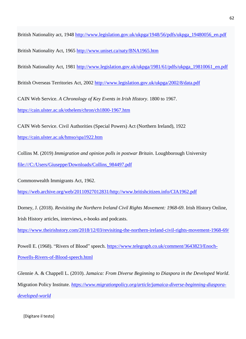British Nationality act, 1948 [http://www.legislation.gov.uk/ukpga/1948/56/pdfs/ukpga\\_19480056\\_en.pdf](http://www.legislation.gov.uk/ukpga/1948/56/pdfs/ukpga_19480056_en.pdf)

British Nationality Act, 1965<http://www.uniset.ca/naty/BNA1965.htm>

British Nationality Act, 1981 [http://www.legislation.gov.uk/ukpga/1981/61/pdfs/ukpga\\_19810061\\_en.pdf](http://www.legislation.gov.uk/ukpga/1981/61/pdfs/ukpga_19810061_en.pdf)

British Overseas Territories Act, 2002 <http://www.legislation.gov.uk/ukpga/2002/8/data.pdf>

CAIN Web Service. *A Chronology of Key Events in Irish History*. 1800 to 1967. <https://cain.ulster.ac.uk/othelem/chron/ch1800-1967.htm>

CAIN Web Service. Civil Authorities (Special Powers) Act (Northern Ireland), 1922 <https://cain.ulster.ac.uk/hmso/spa1922.htm>

Collins M. (2019) *Immigration and opinion polls in postwar Britain*. Loughborough University [file:///C:/Users/Giuseppe/Downloads/Collins\\_984497.pdf](file:///C:/Users/Giuseppe/Downloads/Collins_984497.pdf)

Commonwealth Immigrants Act, 1962.

[https://web.archive.org/web/20110927012831/http://www.britishcitizen.info/CIA1962.pdf](https://web.archive.org/web/20110927012831/http:/www.britishcitizen.info/CIA1962.pdf)

Dorney, J. (2018). *Revisiting the Northern Ireland Civil Rights Movement: 1968-69*. Irish History Online, Irish History articles, interviews, e-books and podcasts.

<https://www.theirishstory.com/2018/12/03/revisiting-the-northern-ireland-civil-rights-movement-1968-69/>

Powell E. (1968). "Rivers of Blood" speech. [https://www.telegraph.co.uk/comment/3643823/Enoch-](https://www.telegraph.co.uk/comment/3643823/Enoch-Powells-Rivers-of-Blood-speech.html)[Powells-Rivers-of-Blood-speech.html](https://www.telegraph.co.uk/comment/3643823/Enoch-Powells-Rivers-of-Blood-speech.html)

Glennie A. & Chappell L. (2010). *Jamaica: From Diverse Beginning to Diaspora in the Developed World*. Migration Policy Institute. *[https://www.migrationpolicy.org/article/jamaica-diverse-beginning-diaspora](https://www.migrationpolicy.org/article/jamaica-diverse-beginning-diaspora-developed-world)[developed-world](https://www.migrationpolicy.org/article/jamaica-diverse-beginning-diaspora-developed-world)*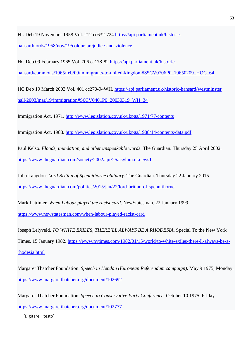HL Deb 19 November 1958 Vol. 212 cc632-724 [https://api.parliament.uk/historic-](https://api.parliament.uk/historic-hansard/lords/1958/nov/19/colour-prejudice-and-violence)

[hansard/lords/1958/nov/19/colour-prejudice-and-violence](https://api.parliament.uk/historic-hansard/lords/1958/nov/19/colour-prejudice-and-violence)

HC Deb 09 February 1965 Vol. 706 cc178-82 [https://api.parliament.uk/historic-](https://api.parliament.uk/historic-hansard/commons/1965/feb/09/immigrants-to-united-kingdom#S5CV0706P0_19650209_HOC_64)

[hansard/commons/1965/feb/09/immigrants-to-united-kingdom#S5CV0706P0\\_19650209\\_HOC\\_64](https://api.parliament.uk/historic-hansard/commons/1965/feb/09/immigrants-to-united-kingdom#S5CV0706P0_19650209_HOC_64)

HC Deb 19 March 2003 Vol. 401 cc270-94WH. [https://api.parliament.uk/historic-hansard/westminster](https://api.parliament.uk/historic-hansard/westminster%20hall/2003/mar/19/immigration#S6CV0401P0_20030319_WH_34)  [hall/2003/mar/19/immigration#S6CV0401P0\\_20030319\\_WH\\_34](https://api.parliament.uk/historic-hansard/westminster%20hall/2003/mar/19/immigration#S6CV0401P0_20030319_WH_34)

Immigration Act, 1971.<http://www.legislation.gov.uk/ukpga/1971/77/contents>

Immigration Act, 1988.<http://www.legislation.gov.uk/ukpga/1988/14/contents/data.pdf>

Paul Kelso. *Floods, inundation, and other unspeakable words*. The Guardian. Thursday 25 April 2002. <https://www.theguardian.com/society/2002/apr/25/asylum.uknews1>

Julia Langdon. *Lord Brittan of Spennithorne obituary*. The Guardian. Thursday 22 January 2015. <https://www.theguardian.com/politics/2015/jan/22/lord-brittan-of-spennithorne>

Mark Lattimer. *When Labour played the racist card*. NewStatesman. 22 January 1999. <https://www.newstatesman.com/when-labour-played-racist-card>

Joseph Lelyveld. *TO WHITE EXILES, THERE'LL ALWAYS BE A RHODESIA*. Special To the New York Times. 15 January 1982. [https://www.nytimes.com/1982/01/15/world/to-white-exiles-there-ll-always-be-a](https://www.nytimes.com/1982/01/15/world/to-white-exiles-there-ll-always-be-a-rhodesia.html)[rhodesia.html](https://www.nytimes.com/1982/01/15/world/to-white-exiles-there-ll-always-be-a-rhodesia.html)

Margaret Thatcher Foundation. *Speech in Hendon (European Referendum campaign)*. May 9 1975, Monday. <https://www.margaretthatcher.org/document/102692>

Margaret Thatcher Foundation. *Speech to Conservative Party Conference*. October 10 1975, Friday.

<https://www.margaretthatcher.org/document/102777>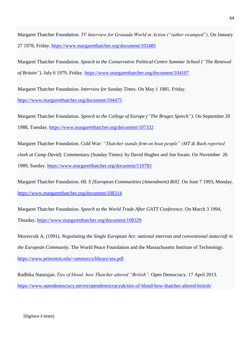Margaret Thatcher Foundation. *TV Interview for Granada World in Action ("rather swamped")*. On January 27 1978, Friday.<https://www.margaretthatcher.org/document/103485>

Margaret Thatcher Foundation. *Speech to the Conservative Political Centre Summer School ("The Renewal of Britain")*. July 6 1979, Friday.<https://www.margaretthatcher.org/document/104107>

Margaret Thatcher Foundation. *Interview for Sunday Times*. On May 1 1981, Friday. <https://www.margaretthatcher.org/document/104475>

Margaret Thatcher Foundation. *Speech to the College of Europe ("The Bruges Speech").* On September 20 1988, Tuesday. <https://www.margaretthatcher.org/document/107332>

Margaret Thatcher Foundation. Cold War: *"Thatcher stands firm on boat people" (MT & Bush reported clash at Camp David)*. Commentary (Sunday Times) by David Hughes and Jon Swain. On November 26 1989, Sunday.<https://www.margaretthatcher.org/document/110783>

Margaret Thatcher Foundation. *HL S [European Communities (Amendment) Bill]*. On June 7 1993, Monday. <https://www.margaretthatcher.org/document/108314>

Margaret Thatcher Foundation. *Speech to the World Trade After GATT Conference*. On March 3 1994, Thusday.<https://www.margaretthatcher.org/document/108329>

Moravcsik A. (1991). *Negotiating the Single European Act: national interests and conventional statecraft in the European Community*. The World Peace Foundation and the Massachusetts Institute of Technology. <https://www.princeton.edu/~amoravcs/library/sea.pdf>

Radhika Natarajan. *Ties of blood: how Thatcher altered "British"*. Open Democracy. 17 April 2013. <https://www.opendemocracy.net/en/opendemocracyuk/ties-of-blood-how-thatcher-altered-british/>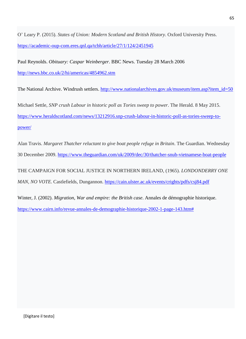O' Leary P. (2015). *States of Union: Modern Scotland and British History.* Oxford University Press. <https://academic-oup-com.eres.qnl.qa/tcbh/article/27/1/124/2451945>

Paul Reynolds. *Obituary: Caspar Weinberger*. BBC News. Tuesday 28 March 2006 <http://news.bbc.co.uk/2/hi/americas/4854962.stm>

The National Archive. Windrush settlers. [http://www.nationalarchives.gov.uk/museum/item.asp?item\\_id=50](http://www.nationalarchives.gov.uk/museum/item.asp?item_id=50)

Michael Settle, *SNP crush Labour in historic poll as Tories sweep to power*. The Herald. 8 May 2015. [https://www.heraldscotland.com/news/13212916.snp-crush-labour-in-historic-poll-as-tories-sweep-to](https://www.heraldscotland.com/news/13212916.snp-crush-labour-in-historic-poll-as-tories-sweep-to-power/)[power/](https://www.heraldscotland.com/news/13212916.snp-crush-labour-in-historic-poll-as-tories-sweep-to-power/)

Alan Travis. *Margaret Thatcher reluctant to give boat people refuge in Britain*. The Guardian. Wednesday 30 December 2009.<https://www.theguardian.com/uk/2009/dec/30/thatcher-snub-vietnamese-boat-people>

THE CAMPAIGN FOR SOCIAL JUSTICE IN NORTHERN IRELAND, (1965). *LONDONDERRY ONE MAN, NO VOTE.* Castlefields, Dungannon. <https://cain.ulster.ac.uk/events/crights/pdfs/csj84.pdf>

Winter, J. (2002). *Migration, War and empire: the British case*. Annales de démographie historique. [https://www.cairn.info/revue-annales-de-demographie-historique-2002-1-page-143.htm#](https://www.cairn.info/revue-annales-de-demographie-historique-2002-1-page-143.htm)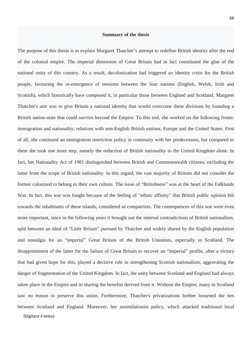# **Summary of the thesis**

The purpose of this thesis is to explain Margaret Thatcher's attempt to redefine British identity after the end of the colonial empire. The imperial dimension of Great Britain had in fact constituted the glue of the national unity of this country. As a result, decolonization had triggered an identity crisis for the British people, favouring the re-emergence of tensions between the four nations (English, Welsh, Irish and Scottish), which historically have composed it, in particular those between England and Scotland. Margaret Thatcher's aim was to give Britain a national identity that would overcome these divisions by founding a British nation-state that could survive beyond the Empire. To this end, she worked on the following fronts: immigration and nationality, relations with non-English British nations, Europe and the United States. First of all, she continued an immigration restriction policy in continuity with her predecessors, but compared to them she took one more step, namely the reduction of British nationality to the United Kingdom alone. In fact, her Nationality Act of 1981 distinguished between British and Commonwealth citizens, excluding the latter from the scope of British nationality. In this regard, the vast majority of Britons did not consider the former colonized to belong to their own culture. The issue of "Britishness" was at the heart of the Falklands War. In fact, this war was fought because of the feeling of "ethnic affinity" that British public opinion felt towards the inhabitants of these islands, considered as compatriots. The consequences of this war were even more important, since in the following years it brought out the internal contradictions of British nationalism, split between an ideal of "Little Britain" pursued by Thatcher and widely shared by the English population and nostalgia for an "imperial" Great Britain of the British Unionists, especially in Scotland. The disappointment of the latter for the failure of Great Britain to recover an "imperial" profile, after a victory that had given hope for this, played a decisive role in strengthening Scottish nationalism, aggravating the danger of fragmentation of the United Kingdom. In fact, the unity between Scotland and England had always taken place in the Empire and in sharing the benefits derived from it. Without the Empire, many in Scotland saw no reason to preserve this union. Furthermore, Thatcher's privatizations further loosened the ties between Scotland and England. Moreover, her assimilationist policy, which attacked traditional local